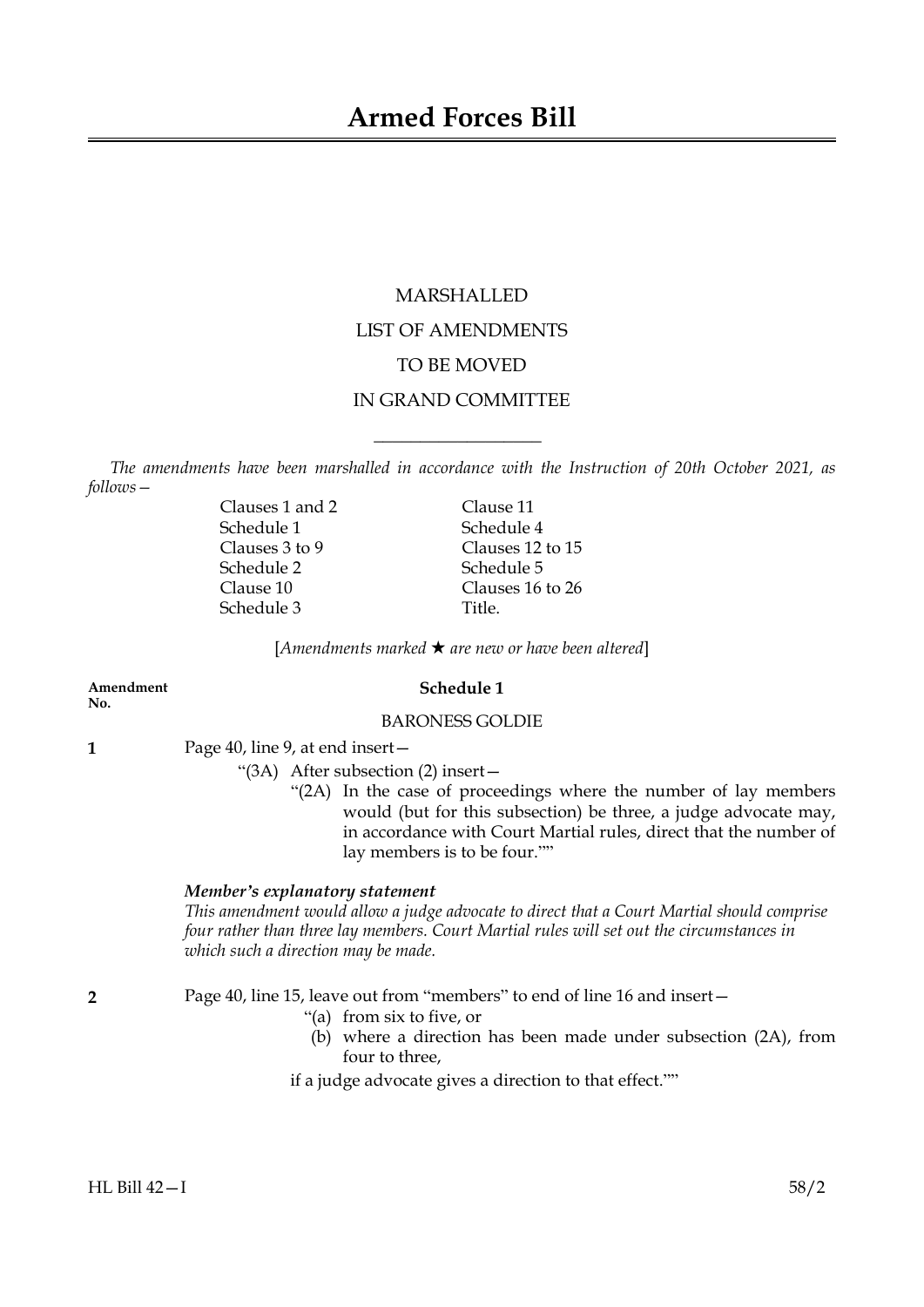# MARSHALLED LIST OF AMENDMENTS TO BE MOVED IN GRAND COMMITTEE

*The amendments have been marshalled in accordance with the Instruction of 20th October 2021, as follows—*

 $\overline{\phantom{a}}$  , where  $\overline{\phantom{a}}$ 

Clauses 1 and 2 Clause 11 Schedule 1 Schedule 4 Schedule 2 Schedule 5 Schedule 3 Title.

Clauses 3 to 9 Clauses 12 to 15 Clause 10 Clauses 16 to 26

[*Amendments marked* \* *are new or have been altered*]

**No.**

# **Amendment Schedule 1**

# BARONESS GOLDIE

**1** Page 40, line 9, at end insert—

"(3A) After subsection (2) insert—

"(2A) In the case of proceedings where the number of lay members would (but for this subsection) be three, a judge advocate may, in accordance with Court Martial rules, direct that the number of lay members is to be four.""

## *Member's explanatory statement*

*This amendment would allow a judge advocate to direct that a Court Martial should comprise four rather than three lay members. Court Martial rules will set out the circumstances in which such a direction may be made.*

**2** Page 40, line 15, leave out from "members" to end of line 16 and insert—

- "(a) from six to five, or
- (b) where a direction has been made under subsection (2A), from four to three,

if a judge advocate gives a direction to that effect.""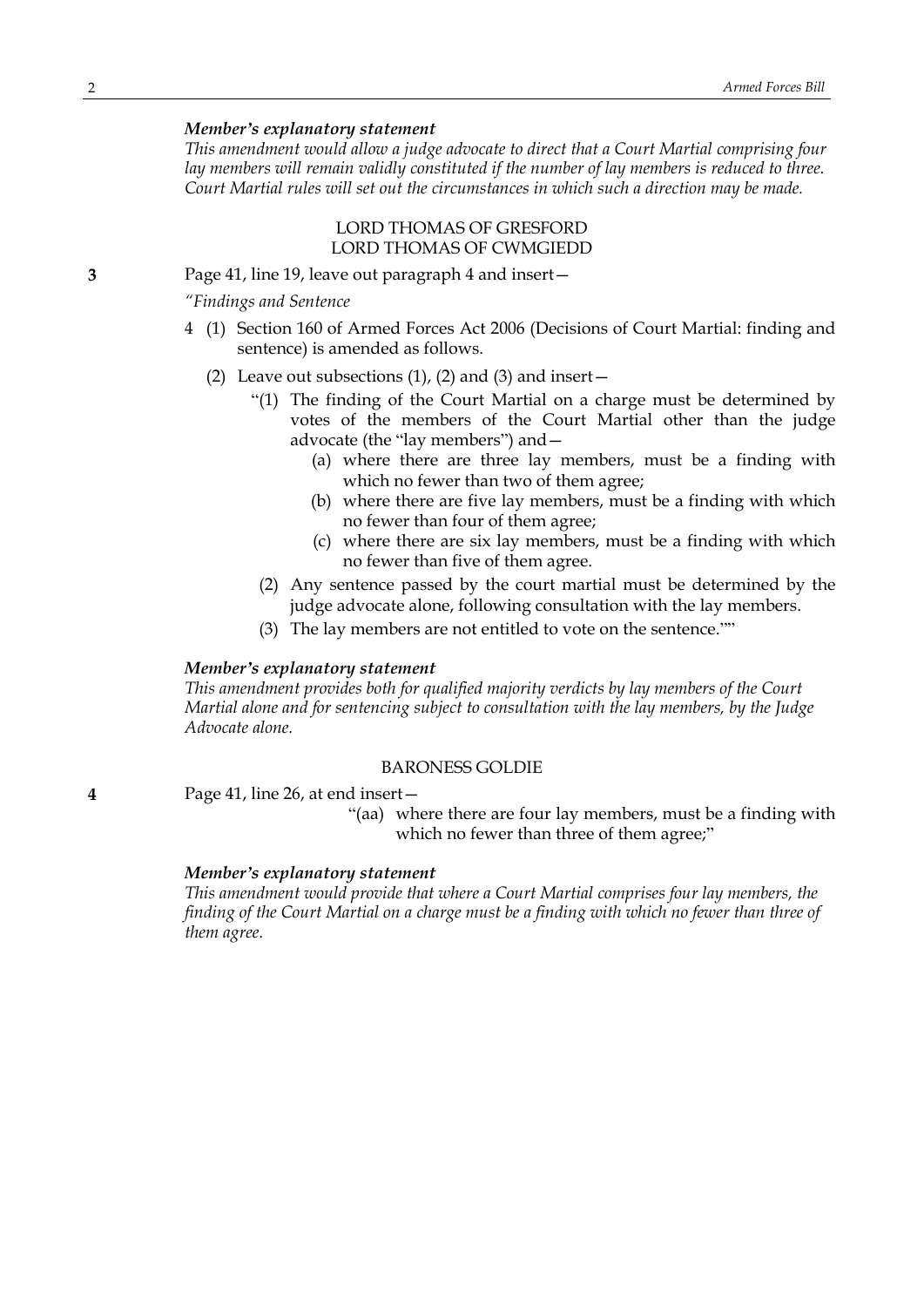# *Member's explanatory statement*

*This amendment would allow a judge advocate to direct that a Court Martial comprising four lay members will remain validly constituted if the number of lay members is reduced to three. Court Martial rules will set out the circumstances in which such a direction may be made.*

# LORD THOMAS OF GRESFORD LORD THOMAS OF CWMGIEDD

**3** Page 41, line 19, leave out paragraph 4 and insert—

*"Findings and Sentence*

- 4 (1) Section 160 of Armed Forces Act 2006 (Decisions of Court Martial: finding and sentence) is amended as follows.
	- (2) Leave out subsections  $(1)$ ,  $(2)$  and  $(3)$  and insert  $-$ 
		- "(1) The finding of the Court Martial on a charge must be determined by votes of the members of the Court Martial other than the judge advocate (the "lay members") and—
			- (a) where there are three lay members, must be a finding with which no fewer than two of them agree;
			- (b) where there are five lay members, must be a finding with which no fewer than four of them agree;
			- (c) where there are six lay members, must be a finding with which no fewer than five of them agree.
		- (2) Any sentence passed by the court martial must be determined by the judge advocate alone, following consultation with the lay members.
		- (3) The lay members are not entitled to vote on the sentence.""

#### *Member's explanatory statement*

*This amendment provides both for qualified majority verdicts by lay members of the Court Martial alone and for sentencing subject to consultation with the lay members, by the Judge Advocate alone.*

#### BARONESS GOLDIE

**4** Page 41, line 26, at end insert—

"(aa) where there are four lay members, must be a finding with which no fewer than three of them agree;"

# *Member's explanatory statement*

*This amendment would provide that where a Court Martial comprises four lay members, the* finding of the Court Martial on a charge must be a finding with which no fewer than three of *them agree.*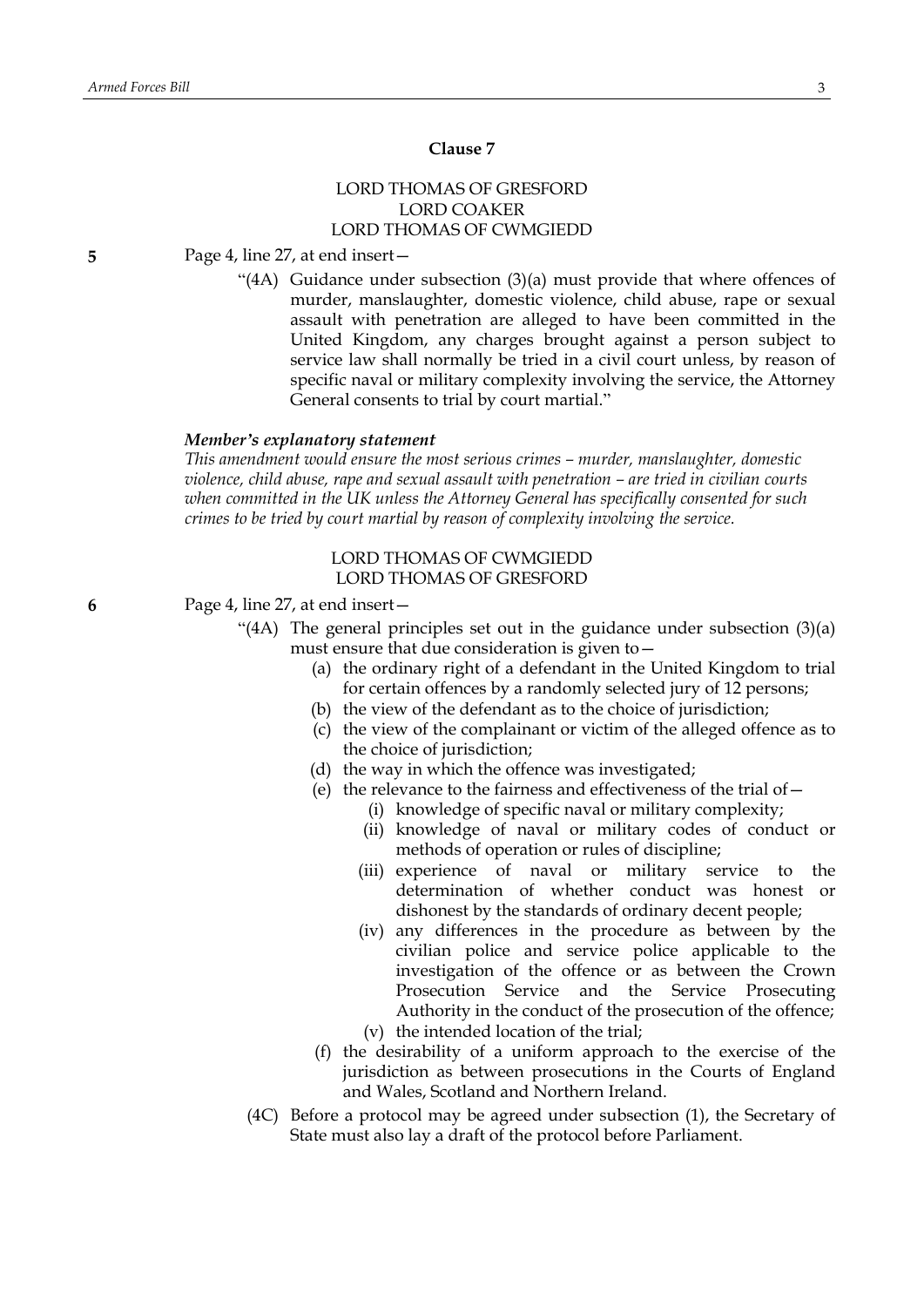# **Clause 7**

# LORD THOMAS OF GRESFORD LORD COAKER LORD THOMAS OF CWMGIEDD

**5** Page 4, line 27, at end insert—

"(4A) Guidance under subsection (3)(a) must provide that where offences of murder, manslaughter, domestic violence, child abuse, rape or sexual assault with penetration are alleged to have been committed in the United Kingdom, any charges brought against a person subject to service law shall normally be tried in a civil court unless, by reason of specific naval or military complexity involving the service, the Attorney General consents to trial by court martial."

## *Member's explanatory statement*

*This amendment would ensure the most serious crimes – murder, manslaughter, domestic violence, child abuse, rape and sexual assault with penetration – are tried in civilian courts when committed in the UK unless the Attorney General has specifically consented for such crimes to be tried by court martial by reason of complexity involving the service.*

# LORD THOMAS OF CWMGIEDD LORD THOMAS OF GRESFORD

- **6** Page 4, line 27, at end insert—
	- "(4A) The general principles set out in the guidance under subsection (3)(a) must ensure that due consideration is given to—
		- (a) the ordinary right of a defendant in the United Kingdom to trial for certain offences by a randomly selected jury of 12 persons;
		- (b) the view of the defendant as to the choice of jurisdiction;
		- (c) the view of the complainant or victim of the alleged offence as to the choice of jurisdiction;
		- (d) the way in which the offence was investigated;
		- (e) the relevance to the fairness and effectiveness of the trial of—
			- (i) knowledge of specific naval or military complexity;
			- (ii) knowledge of naval or military codes of conduct or methods of operation or rules of discipline;
			- (iii) experience of naval or military service to the determination of whether conduct was honest or dishonest by the standards of ordinary decent people;
			- (iv) any differences in the procedure as between by the civilian police and service police applicable to the investigation of the offence or as between the Crown Prosecution Service and the Service Prosecuting Authority in the conduct of the prosecution of the offence; (v) the intended location of the trial;
		- (f) the desirability of a uniform approach to the exercise of the jurisdiction as between prosecutions in the Courts of England and Wales, Scotland and Northern Ireland.
		- (4C) Before a protocol may be agreed under subsection (1), the Secretary of State must also lay a draft of the protocol before Parliament.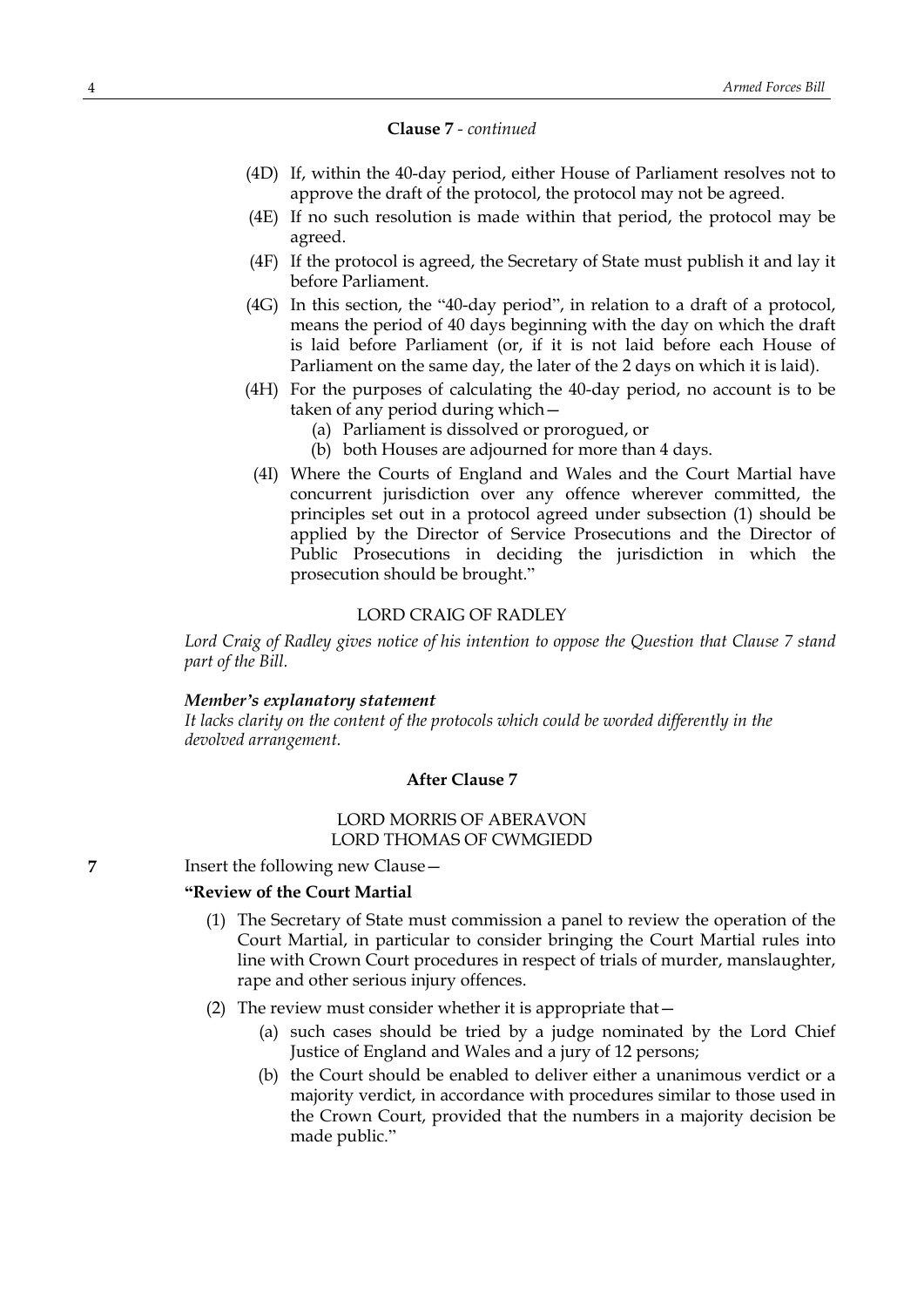# **Clause 7** *- continued*

- (4D) If, within the 40-day period, either House of Parliament resolves not to approve the draft of the protocol, the protocol may not be agreed.
- (4E) If no such resolution is made within that period, the protocol may be agreed.
- (4F) If the protocol is agreed, the Secretary of State must publish it and lay it before Parliament.
- (4G) In this section, the "40-day period", in relation to a draft of a protocol, means the period of 40 days beginning with the day on which the draft is laid before Parliament (or, if it is not laid before each House of Parliament on the same day, the later of the 2 days on which it is laid).
- (4H) For the purposes of calculating the 40-day period, no account is to be taken of any period during which—
	- (a) Parliament is dissolved or prorogued, or
	- (b) both Houses are adjourned for more than 4 days.
- (4I) Where the Courts of England and Wales and the Court Martial have concurrent jurisdiction over any offence wherever committed, the principles set out in a protocol agreed under subsection (1) should be applied by the Director of Service Prosecutions and the Director of Public Prosecutions in deciding the jurisdiction in which the prosecution should be brought."

#### LORD CRAIG OF RADLEY

*Lord Craig of Radley gives notice of his intention to oppose the Question that Clause 7 stand part of the Bill.*

#### *Member's explanatory statement*

*It lacks clarity on the content of the protocols which could be worded differently in the devolved arrangement.*

## **After Clause 7**

# LORD MORRIS OF ABERAVON LORD THOMAS OF CWMGIEDD

**7** Insert the following new Clause –

# **"Review of the Court Martial**

- (1) The Secretary of State must commission a panel to review the operation of the Court Martial, in particular to consider bringing the Court Martial rules into line with Crown Court procedures in respect of trials of murder, manslaughter, rape and other serious injury offences.
- (2) The review must consider whether it is appropriate that—
	- (a) such cases should be tried by a judge nominated by the Lord Chief Justice of England and Wales and a jury of 12 persons;
	- (b) the Court should be enabled to deliver either a unanimous verdict or a majority verdict, in accordance with procedures similar to those used in the Crown Court, provided that the numbers in a majority decision be made public."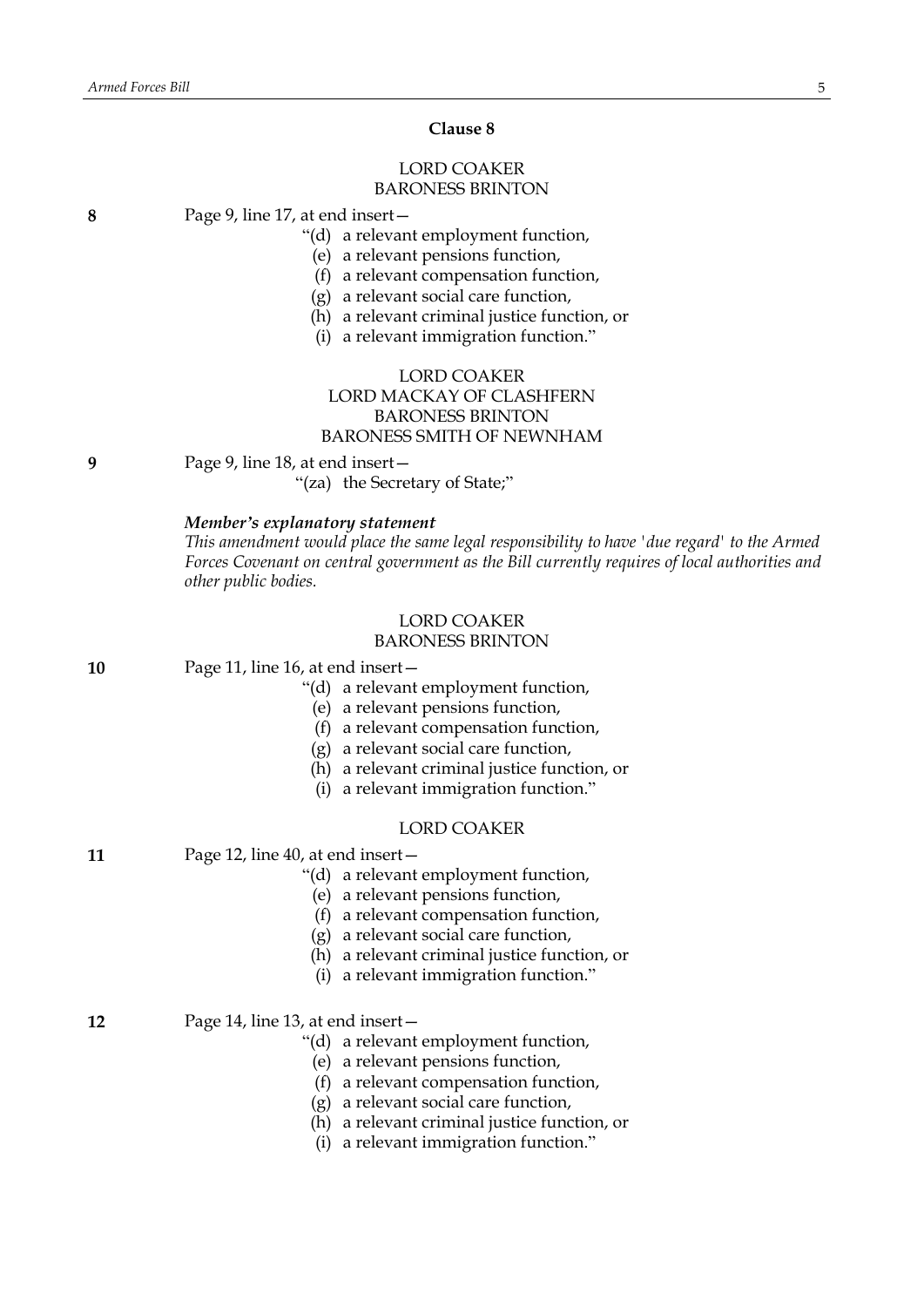#### **Clause 8**

# LORD COAKER BARONESS BRINTON

**8** Page 9, line 17, at end insert—

"(d) a relevant employment function,

- (e) a relevant pensions function,
- (f) a relevant compensation function,
- (g) a relevant social care function,
- (h) a relevant criminal justice function, or
- (i) a relevant immigration function."

# LORD COAKER LORD MACKAY OF CLASHFERN BARONESS BRINTON BARONESS SMITH OF NEWNHAM

**9** Page 9, line 18, at end insert—

"(za) the Secretary of State;"

#### *Member's explanatory statement*

*This amendment would place the same legal responsibility to have 'due regard' to the Armed Forces Covenant on central government as the Bill currently requires of local authorities and other public bodies.*

#### LORD COAKER BARONESS BRINTON

**10** Page 11, line 16, at end insert—

- "(d) a relevant employment function,
- (e) a relevant pensions function,
- (f) a relevant compensation function,
- (g) a relevant social care function,
- (h) a relevant criminal justice function, or
- (i) a relevant immigration function."

# LORD COAKER

- **11** Page 12, line 40, at end insert—
	- "(d) a relevant employment function,

(e) a relevant pensions function,

- (f) a relevant compensation function,
- (g) a relevant social care function,
- (h) a relevant criminal justice function, or
- (i) a relevant immigration function."

**12** Page 14, line 13, at end insert—

- "(d) a relevant employment function,
	- (e) a relevant pensions function,
	- (f) a relevant compensation function,
	- (g) a relevant social care function,
	- (h) a relevant criminal justice function, or
	- (i) a relevant immigration function."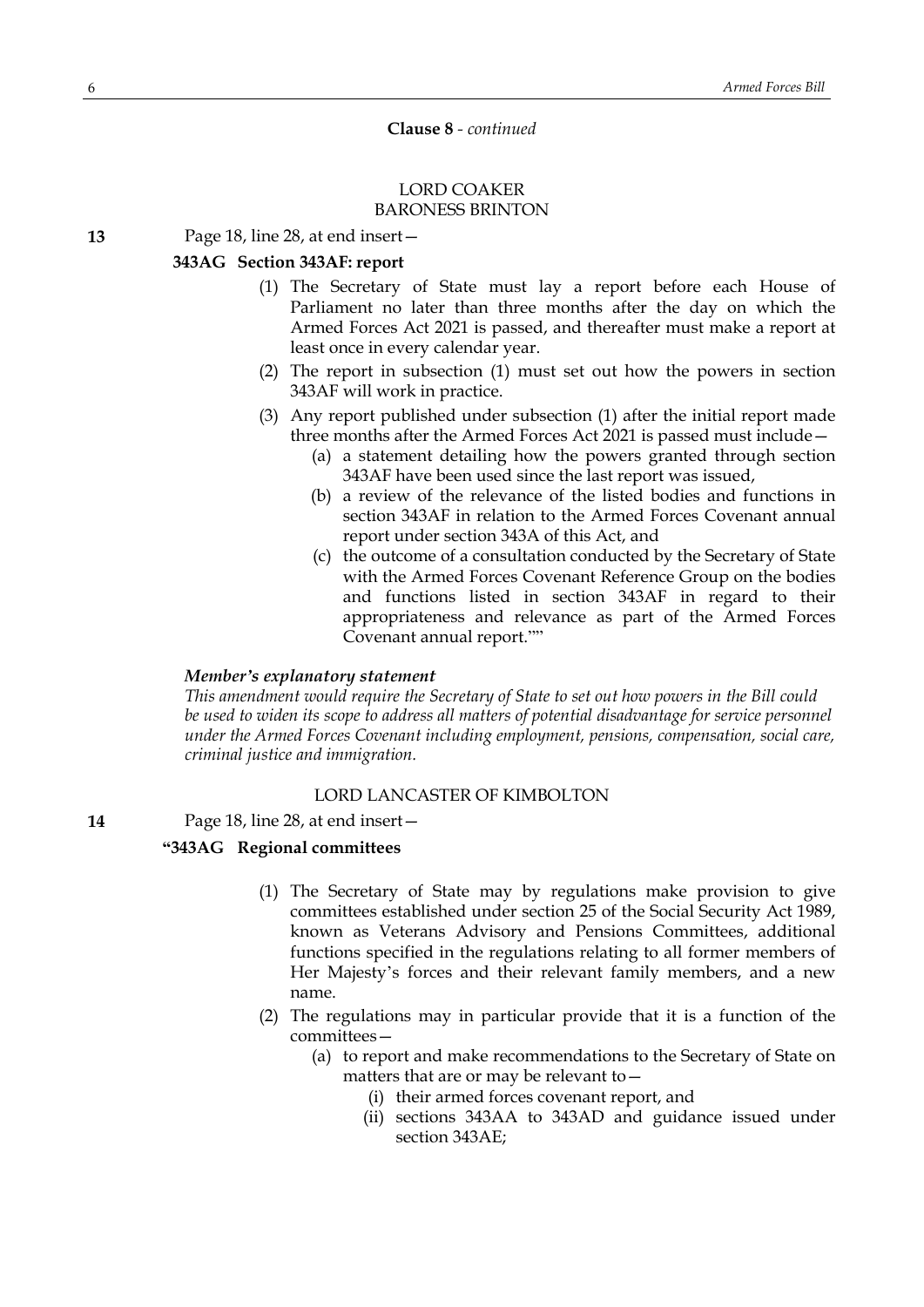## **Clause 8** *- continued*

#### LORD COAKER BARONESS BRINTON

#### **13** Page 18, line 28, at end insert—

# **343AG Section 343AF: report**

- (1) The Secretary of State must lay a report before each House of Parliament no later than three months after the day on which the Armed Forces Act 2021 is passed, and thereafter must make a report at least once in every calendar year.
- (2) The report in subsection (1) must set out how the powers in section 343AF will work in practice.
- (3) Any report published under subsection (1) after the initial report made three months after the Armed Forces Act 2021 is passed must include—
	- (a) a statement detailing how the powers granted through section 343AF have been used since the last report was issued,
	- (b) a review of the relevance of the listed bodies and functions in section 343AF in relation to the Armed Forces Covenant annual report under section 343A of this Act, and
	- (c) the outcome of a consultation conducted by the Secretary of State with the Armed Forces Covenant Reference Group on the bodies and functions listed in section 343AF in regard to their appropriateness and relevance as part of the Armed Forces Covenant annual report.""

## *Member's explanatory statement*

*This amendment would require the Secretary of State to set out how powers in the Bill could be used to widen its scope to address all matters of potential disadvantage for service personnel under the Armed Forces Covenant including employment, pensions, compensation, social care, criminal justice and immigration.*

# LORD LANCASTER OF KIMBOLTON

#### **14** Page 18, line 28, at end insert—

## **"343AG Regional committees**

- (1) The Secretary of State may by regulations make provision to give committees established under section 25 of the Social Security Act 1989, known as Veterans Advisory and Pensions Committees, additional functions specified in the regulations relating to all former members of Her Majesty's forces and their relevant family members, and a new name.
- (2) The regulations may in particular provide that it is a function of the committees—
	- (a) to report and make recommendations to the Secretary of State on matters that are or may be relevant to—
		- (i) their armed forces covenant report, and
		- (ii) sections 343AA to 343AD and guidance issued under section 343AE;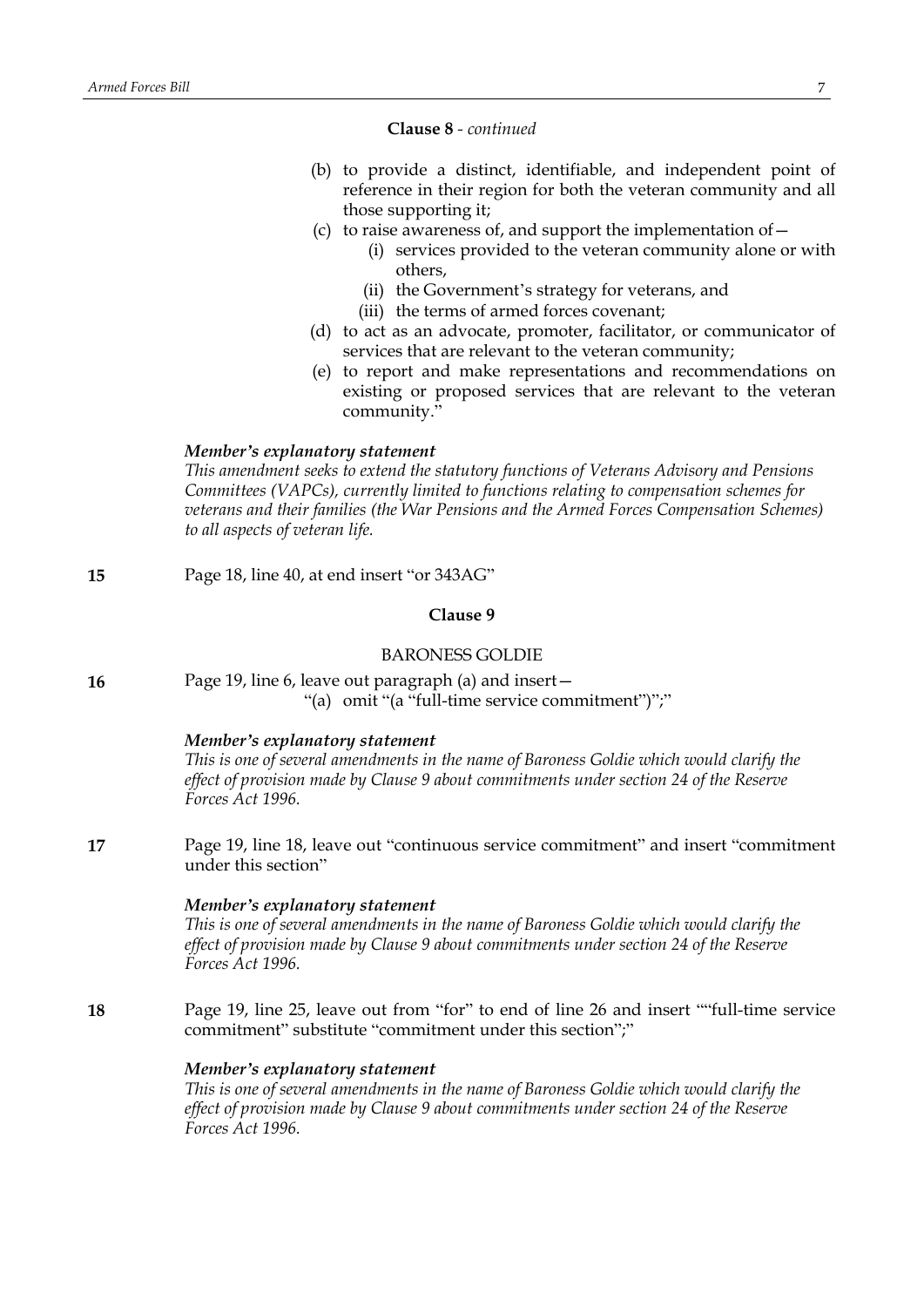#### **Clause 8** *- continued*

- (b) to provide a distinct, identifiable, and independent point of reference in their region for both the veteran community and all those supporting it;
- (c) to raise awareness of, and support the implementation of  $-$ 
	- (i) services provided to the veteran community alone or with others,
	- (ii) the Government's strategy for veterans, and
	- (iii) the terms of armed forces covenant;
- (d) to act as an advocate, promoter, facilitator, or communicator of services that are relevant to the veteran community;
- (e) to report and make representations and recommendations on existing or proposed services that are relevant to the veteran community."

#### *Member's explanatory statement*

*This amendment seeks to extend the statutory functions of Veterans Advisory and Pensions Committees (VAPCs), currently limited to functions relating to compensation schemes for veterans and their families (the War Pensions and the Armed Forces Compensation Schemes) to all aspects of veteran life.*

| 15 | Page 18, line 40, at end insert "or 343AG"                                                                                                                                                                                               |  |  |
|----|------------------------------------------------------------------------------------------------------------------------------------------------------------------------------------------------------------------------------------------|--|--|
|    | Clause 9                                                                                                                                                                                                                                 |  |  |
|    | <b>BARONESS GOLDIE</b>                                                                                                                                                                                                                   |  |  |
| 16 | Page 19, line 6, leave out paragraph (a) and insert-<br>"(a) omit "(a "full-time service commitment")";"                                                                                                                                 |  |  |
|    | Member's explanatory statement<br>This is one of several amendments in the name of Baroness Goldie which would clarify the<br>effect of provision made by Clause 9 about commitments under section 24 of the Reserve<br>Forces Act 1996. |  |  |
| 17 | Page 19, line 18, leave out "continuous service commitment" and insert "commitment"<br>under this section"                                                                                                                               |  |  |
|    | Member's explanatory statement<br>This is one of several amendments in the name of Baroness Goldie which would clarify the<br>effect of provision made by Clause 9 about commitments under section 24 of the Reserve<br>Forces Act 1996. |  |  |
| 18 | Page 19, line 25, leave out from "for" to end of line 26 and insert ""full-time service<br>commitment" substitute "commitment under this section";"                                                                                      |  |  |
|    | Member's explanatory statement<br>This is one of several amendments in the name of Baroness Goldie which would clarify the<br>effect of provision made by Clause 9 about commitments under section 24 of the Reserve                     |  |  |

*Forces Act 1996.*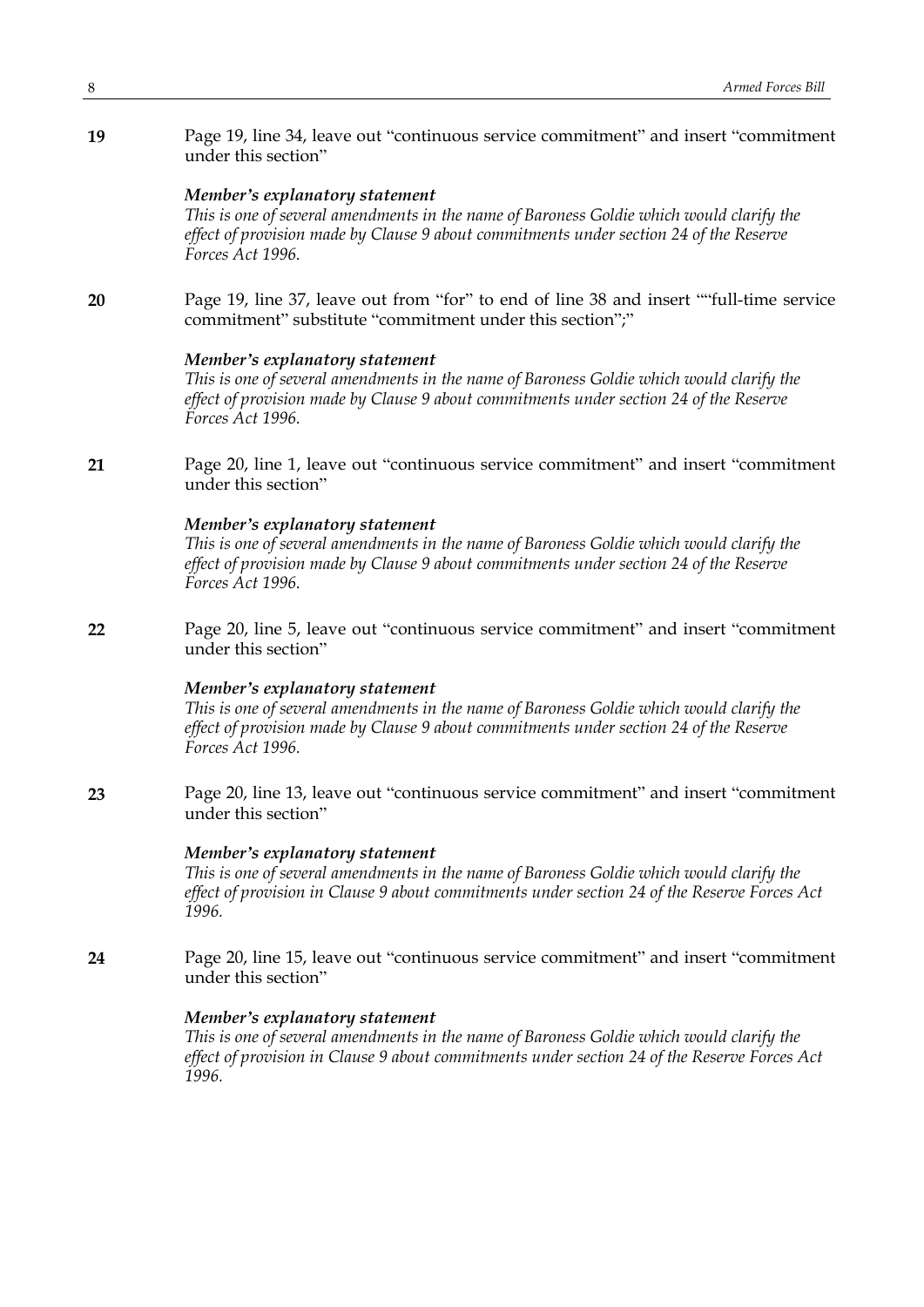**19** Page 19, line 34, leave out "continuous service commitment" and insert "commitment under this section"

#### *Member's explanatory statement*

*This is one of several amendments in the name of Baroness Goldie which would clarify the effect of provision made by Clause 9 about commitments under section 24 of the Reserve Forces Act 1996.*

**20** Page 19, line 37, leave out from "for" to end of line 38 and insert ""full-time service commitment" substitute "commitment under this section";"

#### *Member's explanatory statement*

*This is one of several amendments in the name of Baroness Goldie which would clarify the effect of provision made by Clause 9 about commitments under section 24 of the Reserve Forces Act 1996.*

**21** Page 20, line 1, leave out "continuous service commitment" and insert "commitment under this section"

# *Member's explanatory statement*

*This is one of several amendments in the name of Baroness Goldie which would clarify the effect of provision made by Clause 9 about commitments under section 24 of the Reserve Forces Act 1996.*

**22** Page 20, line 5, leave out "continuous service commitment" and insert "commitment under this section"

#### *Member's explanatory statement*

*This is one of several amendments in the name of Baroness Goldie which would clarify the effect of provision made by Clause 9 about commitments under section 24 of the Reserve Forces Act 1996.*

**23** Page 20, line 13, leave out "continuous service commitment" and insert "commitment under this section"

# *Member's explanatory statement*

*This is one of several amendments in the name of Baroness Goldie which would clarify the effect of provision in Clause 9 about commitments under section 24 of the Reserve Forces Act 1996.*

**24** Page 20, line 15, leave out "continuous service commitment" and insert "commitment under this section"

#### *Member's explanatory statement*

*This is one of several amendments in the name of Baroness Goldie which would clarify the effect of provision in Clause 9 about commitments under section 24 of the Reserve Forces Act 1996.*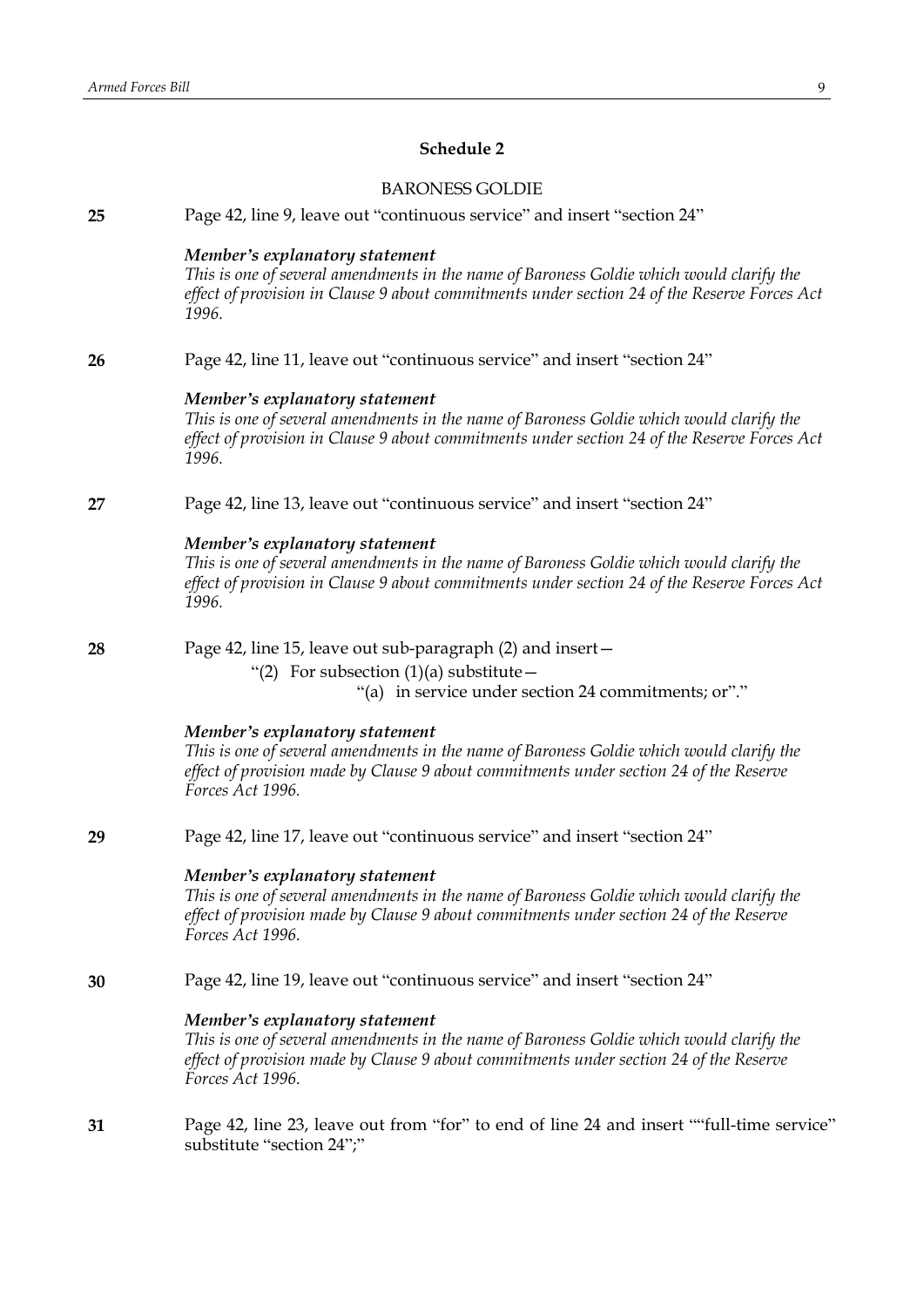# **Schedule 2**

|    | <b>BARONESS GOLDIE</b>                                                                                                                                                                                                                   |
|----|------------------------------------------------------------------------------------------------------------------------------------------------------------------------------------------------------------------------------------------|
| 25 | Page 42, line 9, leave out "continuous service" and insert "section 24"                                                                                                                                                                  |
|    | Member's explanatory statement<br>This is one of several amendments in the name of Baroness Goldie which would clarify the<br>effect of provision in Clause 9 about commitments under section 24 of the Reserve Forces Act<br>1996.      |
| 26 | Page 42, line 11, leave out "continuous service" and insert "section 24"                                                                                                                                                                 |
|    | Member's explanatory statement<br>This is one of several amendments in the name of Baroness Goldie which would clarify the<br>effect of provision in Clause 9 about commitments under section 24 of the Reserve Forces Act<br>1996.      |
| 27 | Page 42, line 13, leave out "continuous service" and insert "section 24"                                                                                                                                                                 |
|    | Member's explanatory statement<br>This is one of several amendments in the name of Baroness Goldie which would clarify the<br>effect of provision in Clause 9 about commitments under section 24 of the Reserve Forces Act<br>1996.      |
| 28 | Page 42, line 15, leave out sub-paragraph (2) and insert-<br>"(2) For subsection $(1)(a)$ substitute –<br>"(a) in service under section 24 commitments; or"."                                                                            |
|    | Member's explanatory statement<br>This is one of several amendments in the name of Baroness Goldie which would clarify the<br>effect of provision made by Clause 9 about commitments under section 24 of the Reserve<br>Forces Act 1996. |
| 29 | Page 42, line 17, leave out "continuous service" and insert "section 24"                                                                                                                                                                 |
|    | Member's explanatory statement<br>This is one of several amendments in the name of Baroness Goldie which would clarify the<br>effect of provision made by Clause 9 about commitments under section 24 of the Reserve<br>Forces Act 1996. |
| 30 | Page 42, line 19, leave out "continuous service" and insert "section 24"                                                                                                                                                                 |
|    | Member's explanatory statement<br>This is one of several amendments in the name of Baroness Goldie which would clarify the<br>effect of provision made by Clause 9 about commitments under section 24 of the Reserve<br>Forces Act 1996. |
| 31 | Page 42, line 23, leave out from "for" to end of line 24 and insert ""full-time service"                                                                                                                                                 |

substitute "section 24";"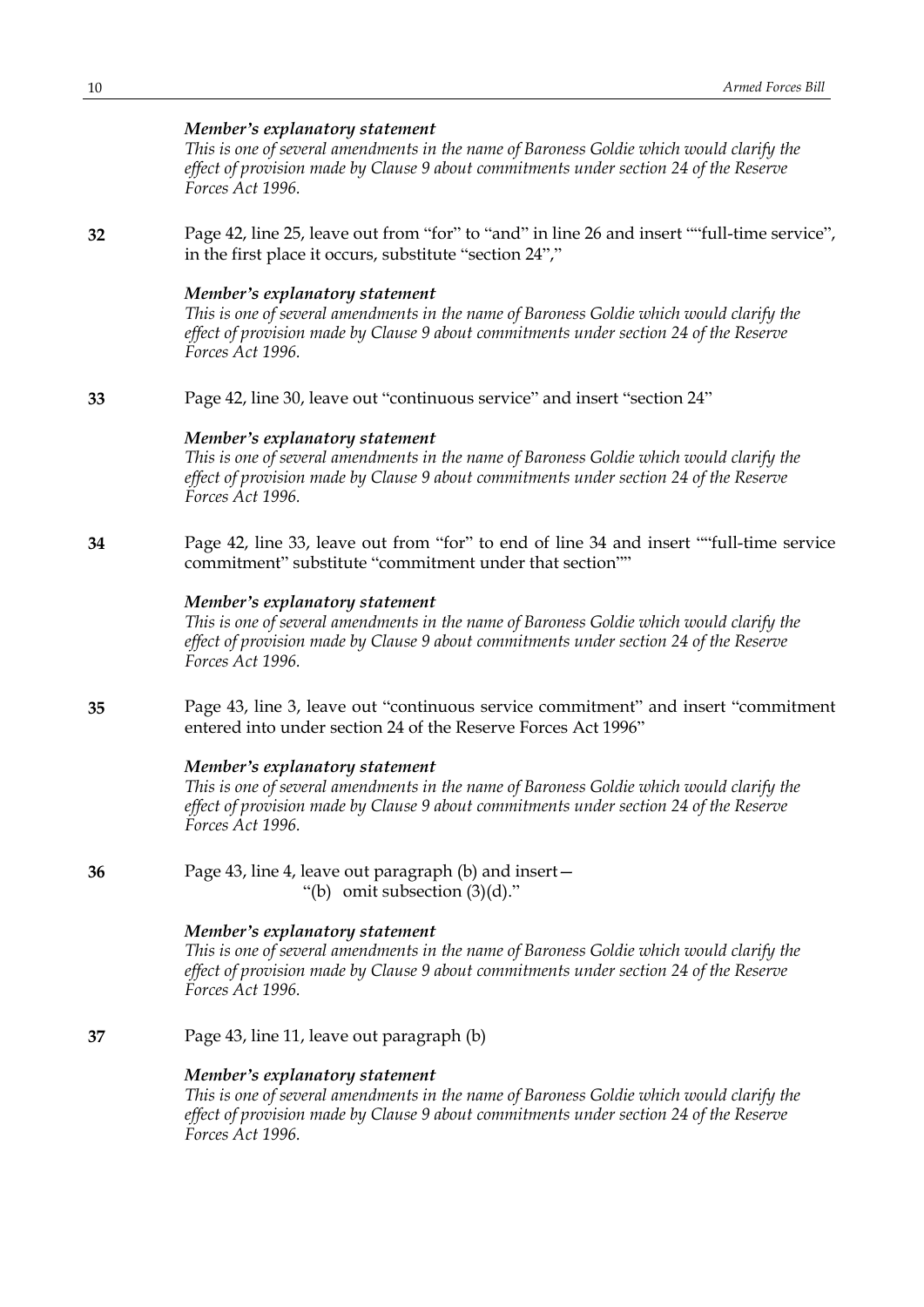# *Member's explanatory statement*

*This is one of several amendments in the name of Baroness Goldie which would clarify the effect of provision made by Clause 9 about commitments under section 24 of the Reserve Forces Act 1996.*

**32** Page 42, line 25, leave out from "for" to "and" in line 26 and insert ""full-time service", in the first place it occurs, substitute "section 24","

#### *Member's explanatory statement*

*This is one of several amendments in the name of Baroness Goldie which would clarify the effect of provision made by Clause 9 about commitments under section 24 of the Reserve Forces Act 1996.*

**33** Page 42, line 30, leave out "continuous service" and insert "section 24"

# *Member's explanatory statement*

*This is one of several amendments in the name of Baroness Goldie which would clarify the effect of provision made by Clause 9 about commitments under section 24 of the Reserve Forces Act 1996.*

**34** Page 42, line 33, leave out from "for" to end of line 34 and insert ""full-time service commitment" substitute "commitment under that section""

# *Member's explanatory statement*

*This is one of several amendments in the name of Baroness Goldie which would clarify the effect of provision made by Clause 9 about commitments under section 24 of the Reserve Forces Act 1996.*

**35** Page 43, line 3, leave out "continuous service commitment" and insert "commitment entered into under section 24 of the Reserve Forces Act 1996"

#### *Member's explanatory statement*

*This is one of several amendments in the name of Baroness Goldie which would clarify the effect of provision made by Clause 9 about commitments under section 24 of the Reserve Forces Act 1996.*

**36** Page 43, line 4, leave out paragraph (b) and insert— "(b) omit subsection (3)(d)."

### *Member's explanatory statement*

*This is one of several amendments in the name of Baroness Goldie which would clarify the effect of provision made by Clause 9 about commitments under section 24 of the Reserve Forces Act 1996.*

**37** Page 43, line 11, leave out paragraph (b)

#### *Member's explanatory statement*

*This is one of several amendments in the name of Baroness Goldie which would clarify the effect of provision made by Clause 9 about commitments under section 24 of the Reserve Forces Act 1996.*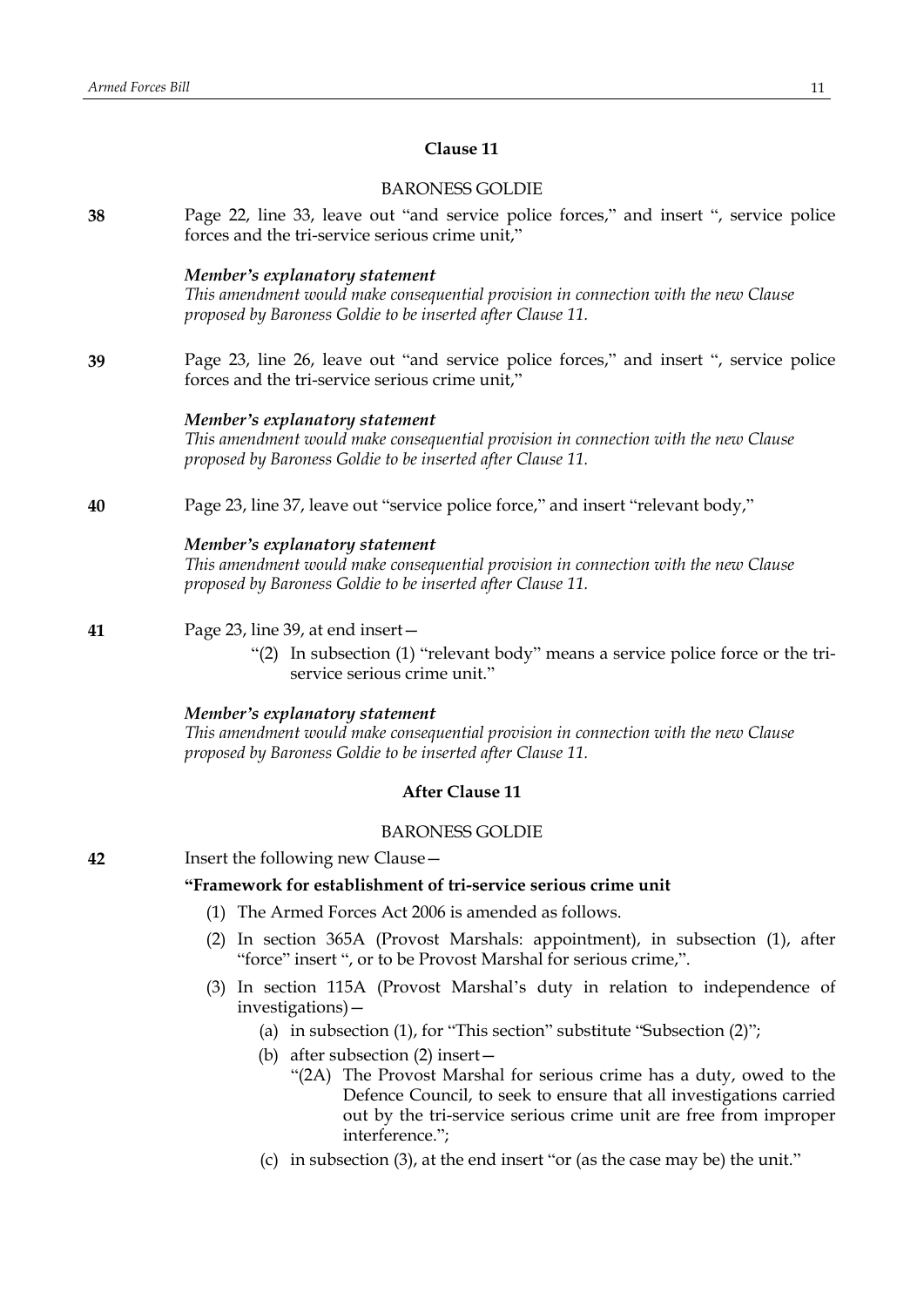# **Clause 11**

|                                                                                       | <b>BARONESS GOLDIE</b>                                                                                                                                                               |  |  |  |  |  |
|---------------------------------------------------------------------------------------|--------------------------------------------------------------------------------------------------------------------------------------------------------------------------------------|--|--|--|--|--|
| 38                                                                                    | Page 22, line 33, leave out "and service police forces," and insert ", service police<br>forces and the tri-service serious crime unit,"                                             |  |  |  |  |  |
|                                                                                       | Member's explanatory statement<br>This amendment would make consequential provision in connection with the new Clause<br>proposed by Baroness Goldie to be inserted after Clause 11. |  |  |  |  |  |
| 39                                                                                    | Page 23, line 26, leave out "and service police forces," and insert ", service police<br>forces and the tri-service serious crime unit,"                                             |  |  |  |  |  |
|                                                                                       | Member's explanatory statement<br>This amendment would make consequential provision in connection with the new Clause<br>proposed by Baroness Goldie to be inserted after Clause 11. |  |  |  |  |  |
| Page 23, line 37, leave out "service police force," and insert "relevant body,"<br>40 |                                                                                                                                                                                      |  |  |  |  |  |
|                                                                                       | Member's explanatory statement<br>This amendment would make consequential provision in connection with the new Clause<br>proposed by Baroness Goldie to be inserted after Clause 11. |  |  |  |  |  |
| 41                                                                                    | Page 23, line 39, at end insert-                                                                                                                                                     |  |  |  |  |  |
|                                                                                       | "(2) In subsection (1) "relevant body" means a service police force or the tri-<br>service serious crime unit."                                                                      |  |  |  |  |  |
|                                                                                       | Member's explanatory statement<br>This amendment would make consequential provision in connection with the new Clause<br>proposed by Baroness Goldie to be inserted after Clause 11. |  |  |  |  |  |
| <b>After Clause 11</b>                                                                |                                                                                                                                                                                      |  |  |  |  |  |
|                                                                                       | <b>BARONESS GOLDIE</b>                                                                                                                                                               |  |  |  |  |  |
| 42                                                                                    | Insert the following new Clause-                                                                                                                                                     |  |  |  |  |  |
|                                                                                       | "Framework for establishment of tri-service serious crime unit                                                                                                                       |  |  |  |  |  |

- (1) The Armed Forces Act 2006 is amended as follows.
- (2) In section 365A (Provost Marshals: appointment), in subsection (1), after "force" insert ", or to be Provost Marshal for serious crime,".
- (3) In section 115A (Provost Marshal's duty in relation to independence of investigations)—
	- (a) in subsection (1), for "This section" substitute "Subsection (2)";
	- (b) after subsection (2) insert—
		- "(2A) The Provost Marshal for serious crime has a duty, owed to the Defence Council, to seek to ensure that all investigations carried out by the tri-service serious crime unit are free from improper interference.";
	- (c) in subsection (3), at the end insert "or (as the case may be) the unit."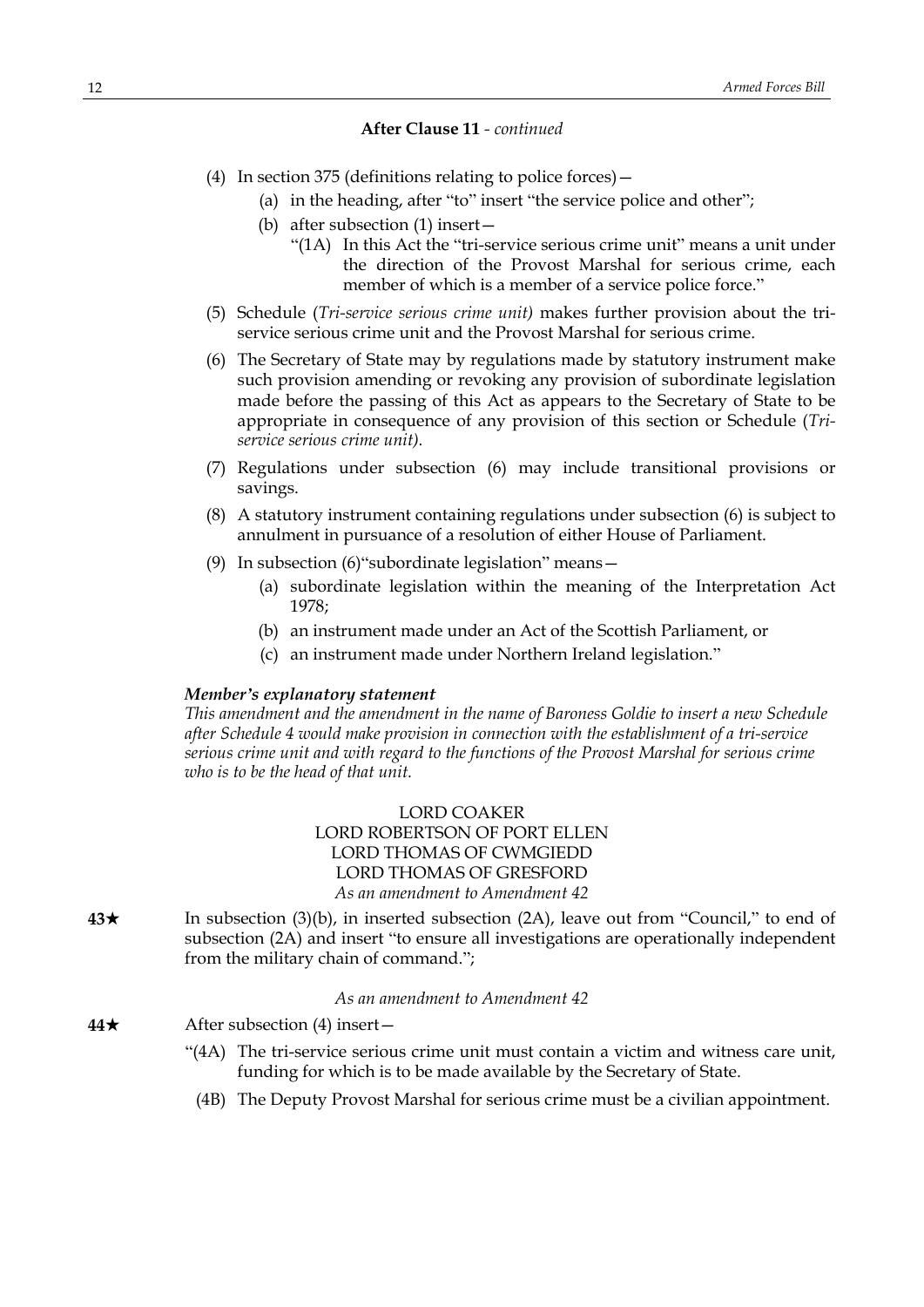## **After Clause 11** *- continued*

- (4) In section 375 (definitions relating to police forces)—
	- (a) in the heading, after "to" insert "the service police and other";
	- (b) after subsection (1) insert—
		- "(1A) In this Act the "tri-service serious crime unit" means a unit under the direction of the Provost Marshal for serious crime, each member of which is a member of a service police force."
- (5) Schedule (*Tri-service serious crime unit)* makes further provision about the triservice serious crime unit and the Provost Marshal for serious crime.
- (6) The Secretary of State may by regulations made by statutory instrument make such provision amending or revoking any provision of subordinate legislation made before the passing of this Act as appears to the Secretary of State to be appropriate in consequence of any provision of this section or Schedule (*Triservice serious crime unit).*
- (7) Regulations under subsection (6) may include transitional provisions or savings.
- (8) A statutory instrument containing regulations under subsection (6) is subject to annulment in pursuance of a resolution of either House of Parliament.
- (9) In subsection (6)"subordinate legislation" means—
	- (a) subordinate legislation within the meaning of the Interpretation Act 1978;
	- (b) an instrument made under an Act of the Scottish Parliament, or
	- (c) an instrument made under Northern Ireland legislation."

#### *Member's explanatory statement*

*This amendment and the amendment in the name of Baroness Goldie to insert a new Schedule after Schedule 4 would make provision in connection with the establishment of a tri-service serious crime unit and with regard to the functions of the Provost Marshal for serious crime who is to be the head of that unit.*

> LORD COAKER LORD ROBERTSON OF PORT ELLEN LORD THOMAS OF CWMGIEDD LORD THOMAS OF GRESFORD *As an amendment to Amendment 42*

**43★** In subsection (3)(b), in inserted subsection (2A), leave out from "Council," to end of subsection (2A) and insert "to ensure all investigations are operationally independent from the military chain of command.";

*As an amendment to Amendment 42*

- **44★** After subsection (4) insert—
	- "(4A) The tri-service serious crime unit must contain a victim and witness care unit, funding for which is to be made available by the Secretary of State.
		- (4B) The Deputy Provost Marshal for serious crime must be a civilian appointment.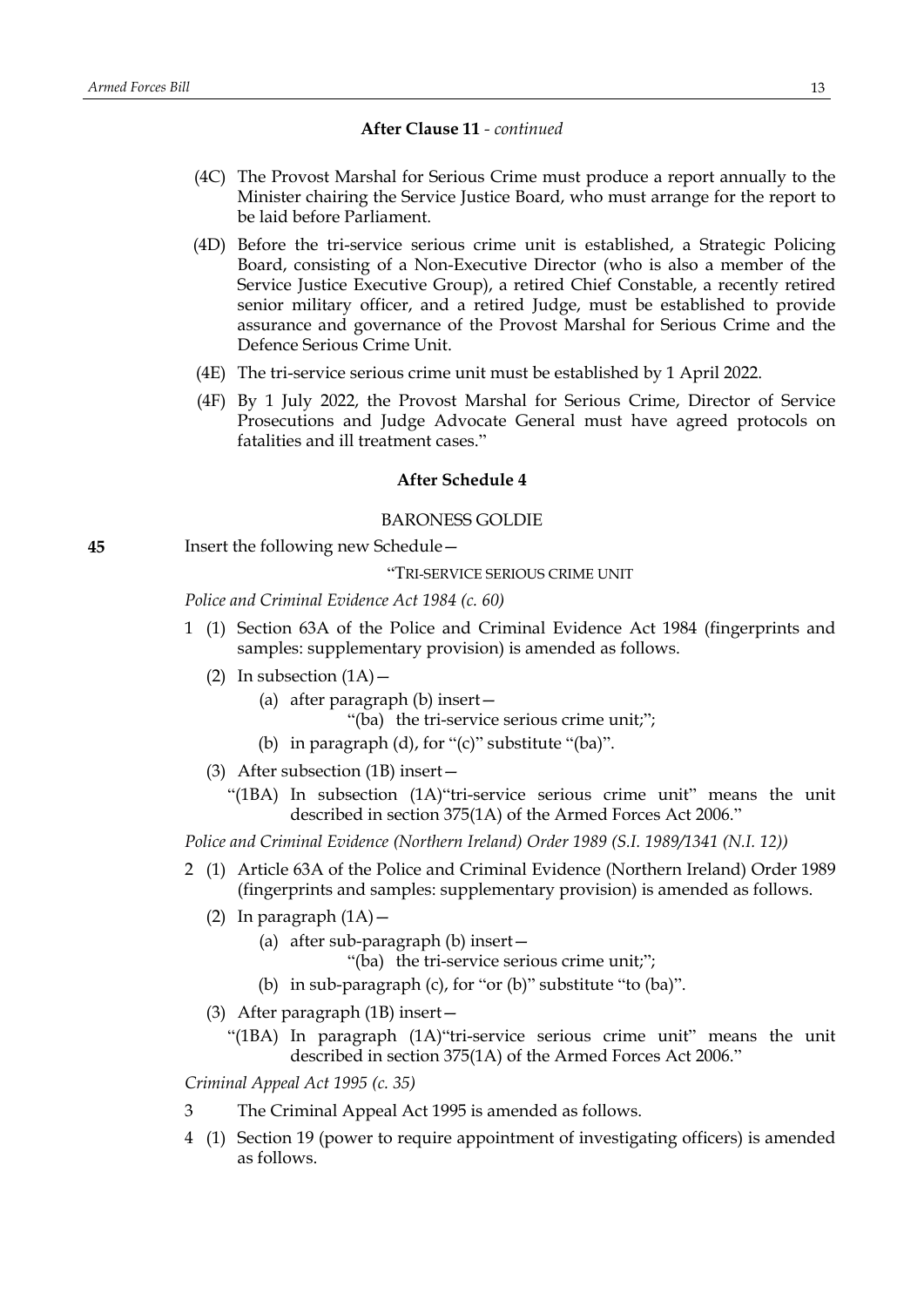#### **After Clause 11** *- continued*

- (4C) The Provost Marshal for Serious Crime must produce a report annually to the Minister chairing the Service Justice Board, who must arrange for the report to be laid before Parliament.
- (4D) Before the tri-service serious crime unit is established, a Strategic Policing Board, consisting of a Non-Executive Director (who is also a member of the Service Justice Executive Group), a retired Chief Constable, a recently retired senior military officer, and a retired Judge, must be established to provide assurance and governance of the Provost Marshal for Serious Crime and the Defence Serious Crime Unit.
- (4E) The tri-service serious crime unit must be established by 1 April 2022.
- (4F) By 1 July 2022, the Provost Marshal for Serious Crime, Director of Service Prosecutions and Judge Advocate General must have agreed protocols on fatalities and ill treatment cases."

#### **After Schedule 4**

# BARONESS GOLDIE

**45** Insert the following new Schedule—

"TRI-SERVICE SERIOUS CRIME UNIT

*Police and Criminal Evidence Act 1984 (c. 60)*

- 1 (1) Section 63A of the Police and Criminal Evidence Act 1984 (fingerprints and samples: supplementary provision) is amended as follows.
	- (2) In subsection  $(1A)$ 
		- (a) after paragraph (b) insert—

"(ba) the tri-service serious crime unit;";

- (b) in paragraph  $(d)$ , for " $(c)$ " substitute " $(ba)$ ".
- (3) After subsection (1B) insert—
	- "(1BA) In subsection (1A)"tri-service serious crime unit" means the unit described in section 375(1A) of the Armed Forces Act 2006."

*Police and Criminal Evidence (Northern Ireland) Order 1989 (S.I. 1989/1341 (N.I. 12))*

- 2 (1) Article 63A of the Police and Criminal Evidence (Northern Ireland) Order 1989 (fingerprints and samples: supplementary provision) is amended as follows.
	- (2) In paragraph  $(1A)$  -
		- (a) after sub-paragraph (b) insert—

"(ba) the tri-service serious crime unit;";

- (b) in sub-paragraph (c), for "or (b)" substitute "to (ba)".
- (3) After paragraph (1B) insert—
	- "(1BA) In paragraph (1A)"tri-service serious crime unit" means the unit described in section 375(1A) of the Armed Forces Act 2006."

*Criminal Appeal Act 1995 (c. 35)*

- 3 The Criminal Appeal Act 1995 is amended as follows.
- 4 (1) Section 19 (power to require appointment of investigating officers) is amended as follows.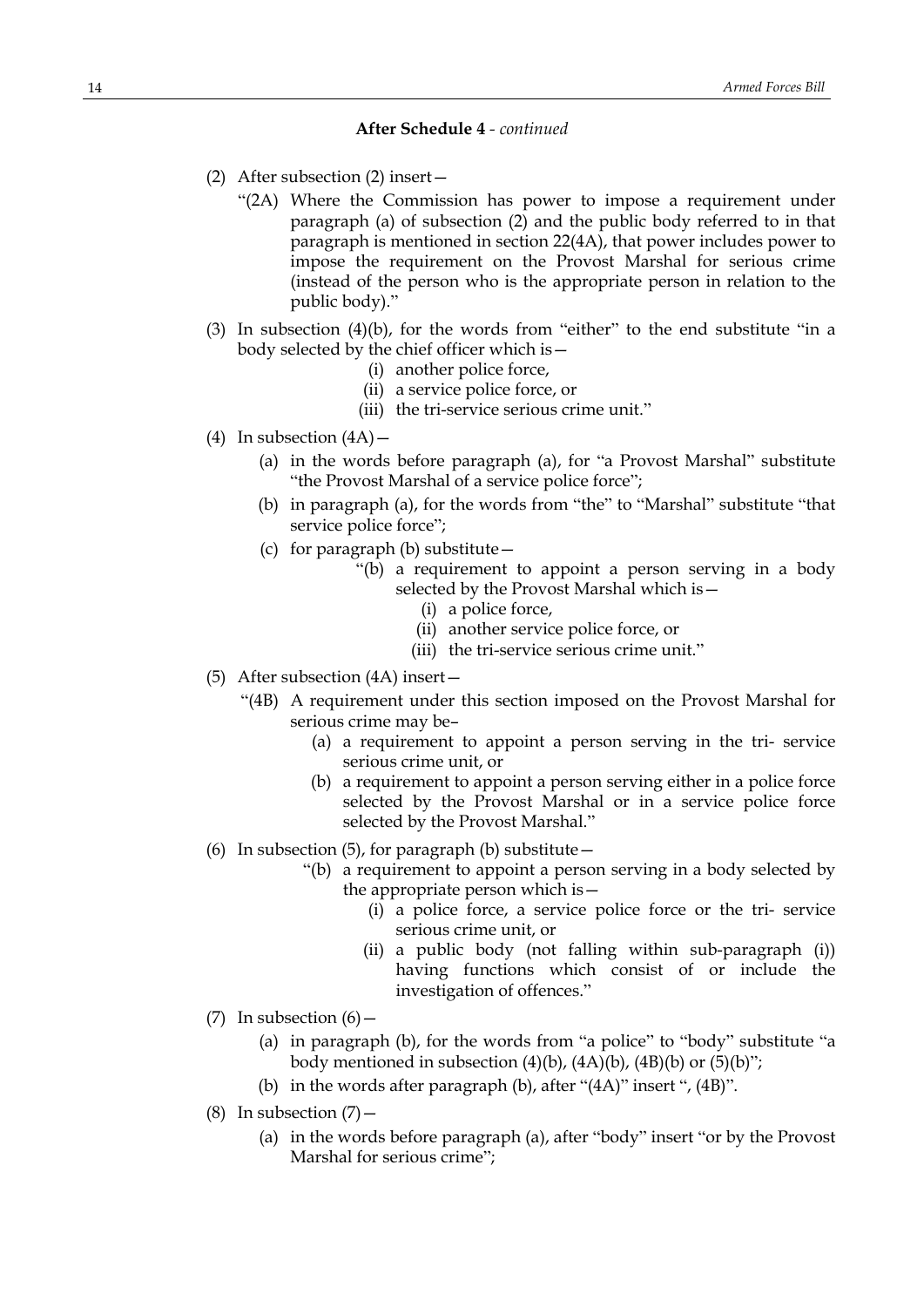- (2) After subsection (2) insert—
	- "(2A) Where the Commission has power to impose a requirement under paragraph (a) of subsection (2) and the public body referred to in that paragraph is mentioned in section 22(4A), that power includes power to impose the requirement on the Provost Marshal for serious crime (instead of the person who is the appropriate person in relation to the public body)."
- (3) In subsection  $(4)(b)$ , for the words from "either" to the end substitute "in a body selected by the chief officer which is—
	- (i) another police force,
	- (ii) a service police force, or
	- (iii) the tri-service serious crime unit."
- (4) In subsection  $(4A)$ 
	- (a) in the words before paragraph (a), for "a Provost Marshal" substitute "the Provost Marshal of a service police force";
	- (b) in paragraph (a), for the words from "the" to "Marshal" substitute "that service police force";
	- (c) for paragraph (b) substitute—
		- "(b) a requirement to appoint a person serving in a body selected by the Provost Marshal which is—
			- (i) a police force,
			- (ii) another service police force, or
			- (iii) the tri-service serious crime unit."
- (5) After subsection (4A) insert—
	- "(4B) A requirement under this section imposed on the Provost Marshal for serious crime may be–
		- (a) a requirement to appoint a person serving in the tri- service serious crime unit, or
		- (b) a requirement to appoint a person serving either in a police force selected by the Provost Marshal or in a service police force selected by the Provost Marshal."
- (6) In subsection (5), for paragraph (b) substitute  $-$ 
	- "(b) a requirement to appoint a person serving in a body selected by the appropriate person which is—
		- (i) a police force, a service police force or the tri- service serious crime unit, or
		- (ii) a public body (not falling within sub-paragraph (i)) having functions which consist of or include the investigation of offences."
- (7) In subsection  $(6)$ 
	- (a) in paragraph (b), for the words from "a police" to "body" substitute "a body mentioned in subsection  $(4)(b)$ ,  $(4A)(b)$ ,  $(4B)(b)$  or  $(5)(b)$ ";
	- (b) in the words after paragraph (b), after "(4A)" insert ", (4B)".
- (8) In subsection  $(7)$ 
	- (a) in the words before paragraph (a), after "body" insert "or by the Provost Marshal for serious crime";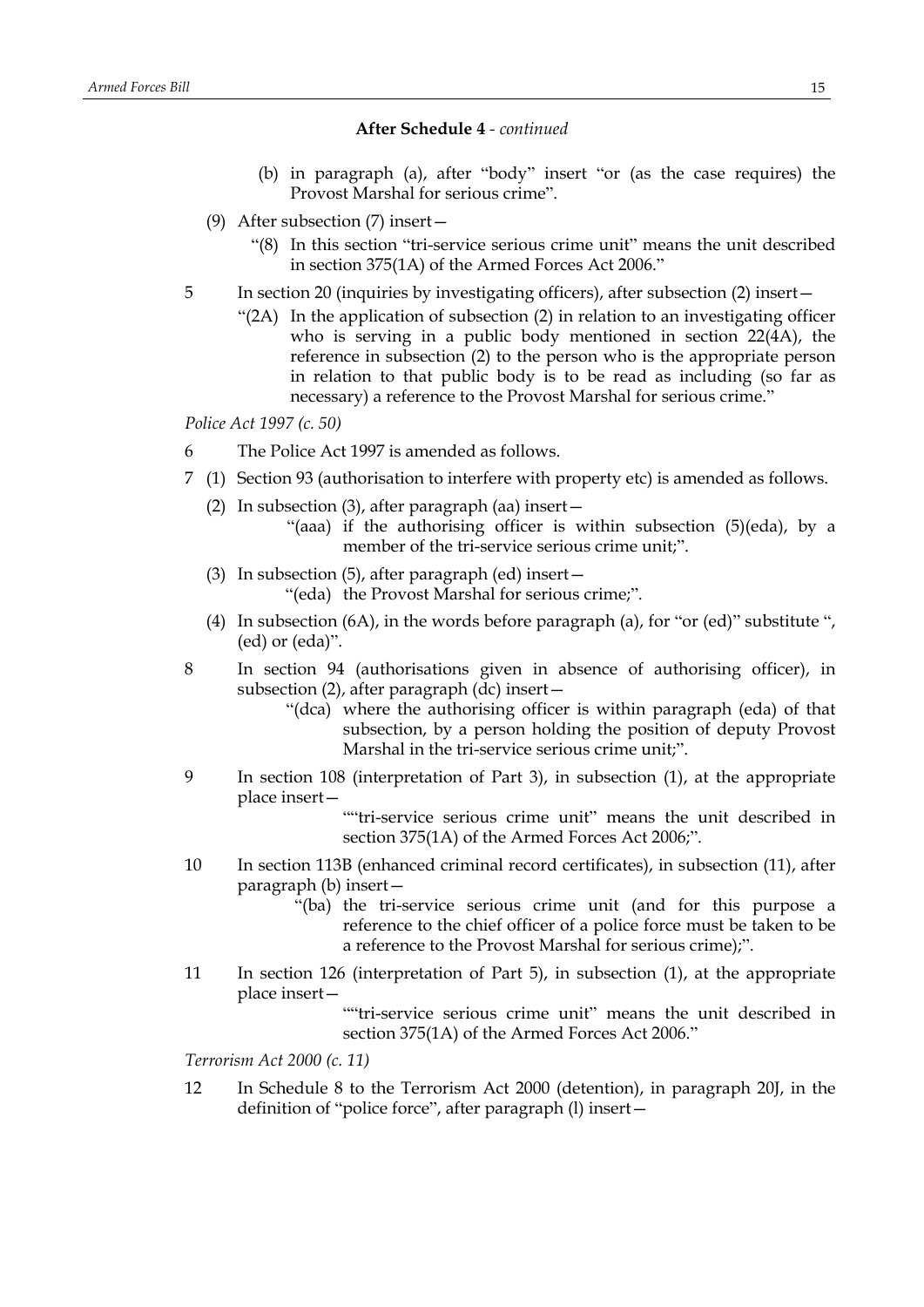- (b) in paragraph (a), after "body" insert "or (as the case requires) the Provost Marshal for serious crime".
- (9) After subsection (7) insert—
	- "(8) In this section "tri-service serious crime unit" means the unit described in section 375(1A) of the Armed Forces Act 2006."
- 5 In section 20 (inquiries by investigating officers), after subsection (2) insert—
	- "(2A) In the application of subsection (2) in relation to an investigating officer who is serving in a public body mentioned in section  $22(4A)$ , the reference in subsection (2) to the person who is the appropriate person in relation to that public body is to be read as including (so far as necessary) a reference to the Provost Marshal for serious crime."

*Police Act 1997 (c. 50)*

- 6 The Police Act 1997 is amended as follows.
- 7 (1) Section 93 (authorisation to interfere with property etc) is amended as follows.
	- (2) In subsection (3), after paragraph (aa) insert—
		- "(aaa) if the authorising officer is within subsection (5)(eda), by a member of the tri-service serious crime unit;".
	- (3) In subsection (5), after paragraph (ed) insert— "(eda) the Provost Marshal for serious crime;".
	- (4) In subsection (6A), in the words before paragraph (a), for "or (ed)" substitute ", (ed) or (eda)".
- 8 In section 94 (authorisations given in absence of authorising officer), in subsection (2), after paragraph (dc) insert—
	- "(dca) where the authorising officer is within paragraph (eda) of that subsection, by a person holding the position of deputy Provost Marshal in the tri-service serious crime unit;".
- 9 In section 108 (interpretation of Part 3), in subsection (1), at the appropriate place insert—

""tri-service serious crime unit" means the unit described in section 375(1A) of the Armed Forces Act 2006;".

- 10 In section 113B (enhanced criminal record certificates), in subsection (11), after paragraph (b) insert—
	- "(ba) the tri-service serious crime unit (and for this purpose a reference to the chief officer of a police force must be taken to be a reference to the Provost Marshal for serious crime);".
- 11 In section 126 (interpretation of Part 5), in subsection (1), at the appropriate place insert—
	- ""tri-service serious crime unit" means the unit described in section 375(1A) of the Armed Forces Act 2006."

*Terrorism Act 2000 (c. 11)*

12 In Schedule 8 to the Terrorism Act 2000 (detention), in paragraph 20J, in the definition of "police force", after paragraph (l) insert—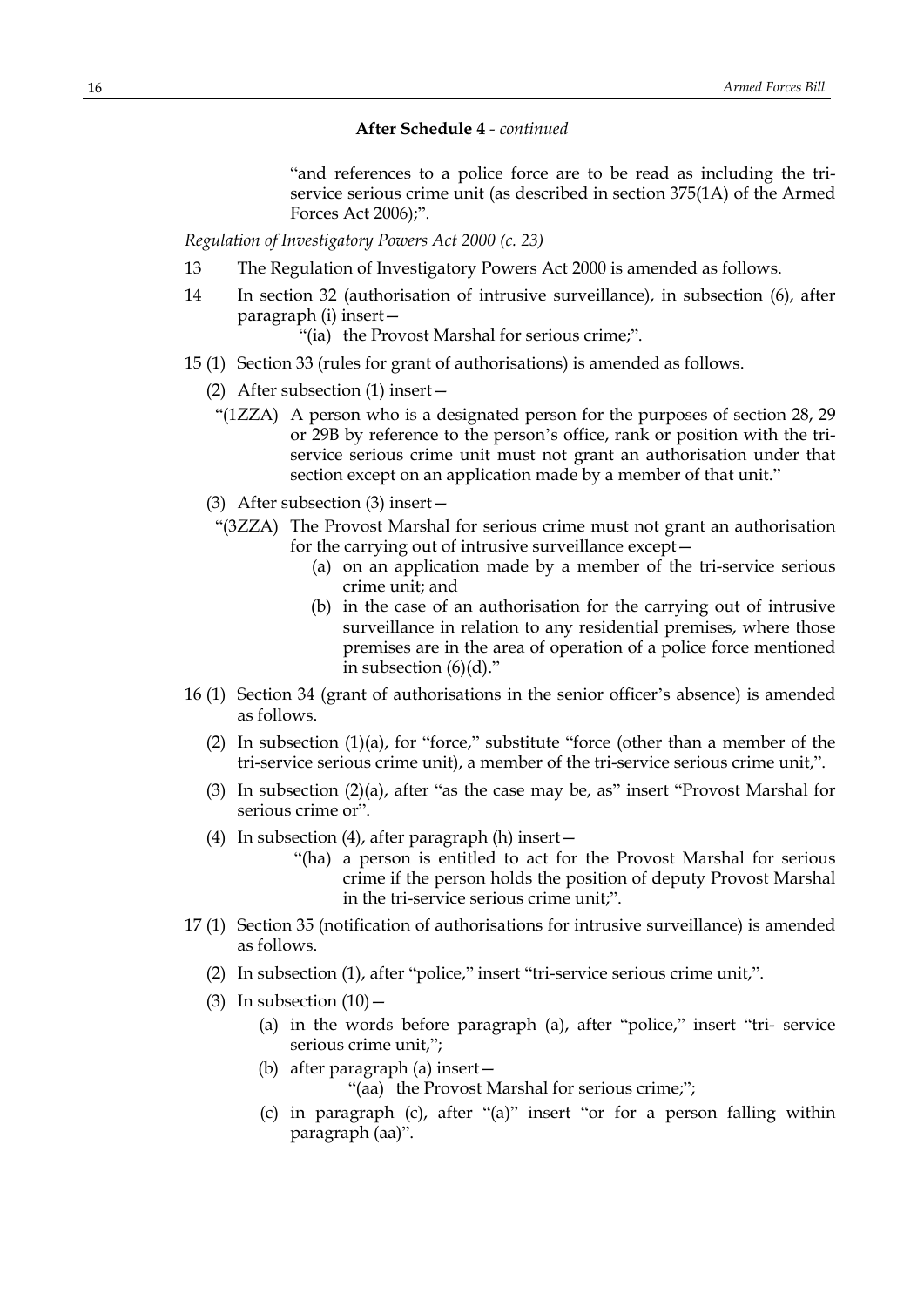"and references to a police force are to be read as including the triservice serious crime unit (as described in section 375(1A) of the Armed Forces Act 2006);".

*Regulation of Investigatory Powers Act 2000 (c. 23)*

- 13 The Regulation of Investigatory Powers Act 2000 is amended as follows.
- 14 In section 32 (authorisation of intrusive surveillance), in subsection (6), after paragraph (i) insert—
	- "(ia) the Provost Marshal for serious crime;".
- 15 (1) Section 33 (rules for grant of authorisations) is amended as follows.
	- (2) After subsection (1) insert—
		- "(1ZZA) A person who is a designated person for the purposes of section 28, 29 or 29B by reference to the person's office, rank or position with the triservice serious crime unit must not grant an authorisation under that section except on an application made by a member of that unit."
	- (3) After subsection (3) insert—
	- "(3ZZA) The Provost Marshal for serious crime must not grant an authorisation for the carrying out of intrusive surveillance except—
		- (a) on an application made by a member of the tri-service serious crime unit; and
		- (b) in the case of an authorisation for the carrying out of intrusive surveillance in relation to any residential premises, where those premises are in the area of operation of a police force mentioned in subsection  $(6)(d)$ ."
- 16 (1) Section 34 (grant of authorisations in the senior officer's absence) is amended as follows.
	- (2) In subsection (1)(a), for "force," substitute "force (other than a member of the tri-service serious crime unit), a member of the tri-service serious crime unit,".
	- (3) In subsection (2)(a), after "as the case may be, as" insert "Provost Marshal for serious crime or".
	- (4) In subsection (4), after paragraph (h) insert—
		- "(ha) a person is entitled to act for the Provost Marshal for serious crime if the person holds the position of deputy Provost Marshal in the tri-service serious crime unit;".
- 17 (1) Section 35 (notification of authorisations for intrusive surveillance) is amended as follows.
	- (2) In subsection (1), after "police," insert "tri-service serious crime unit,".
	- (3) In subsection  $(10)$ 
		- (a) in the words before paragraph (a), after "police," insert "tri- service serious crime unit,";
		- (b) after paragraph (a) insert— "(aa) the Provost Marshal for serious crime;";
		- (c) in paragraph (c), after "(a)" insert "or for a person falling within paragraph (aa)".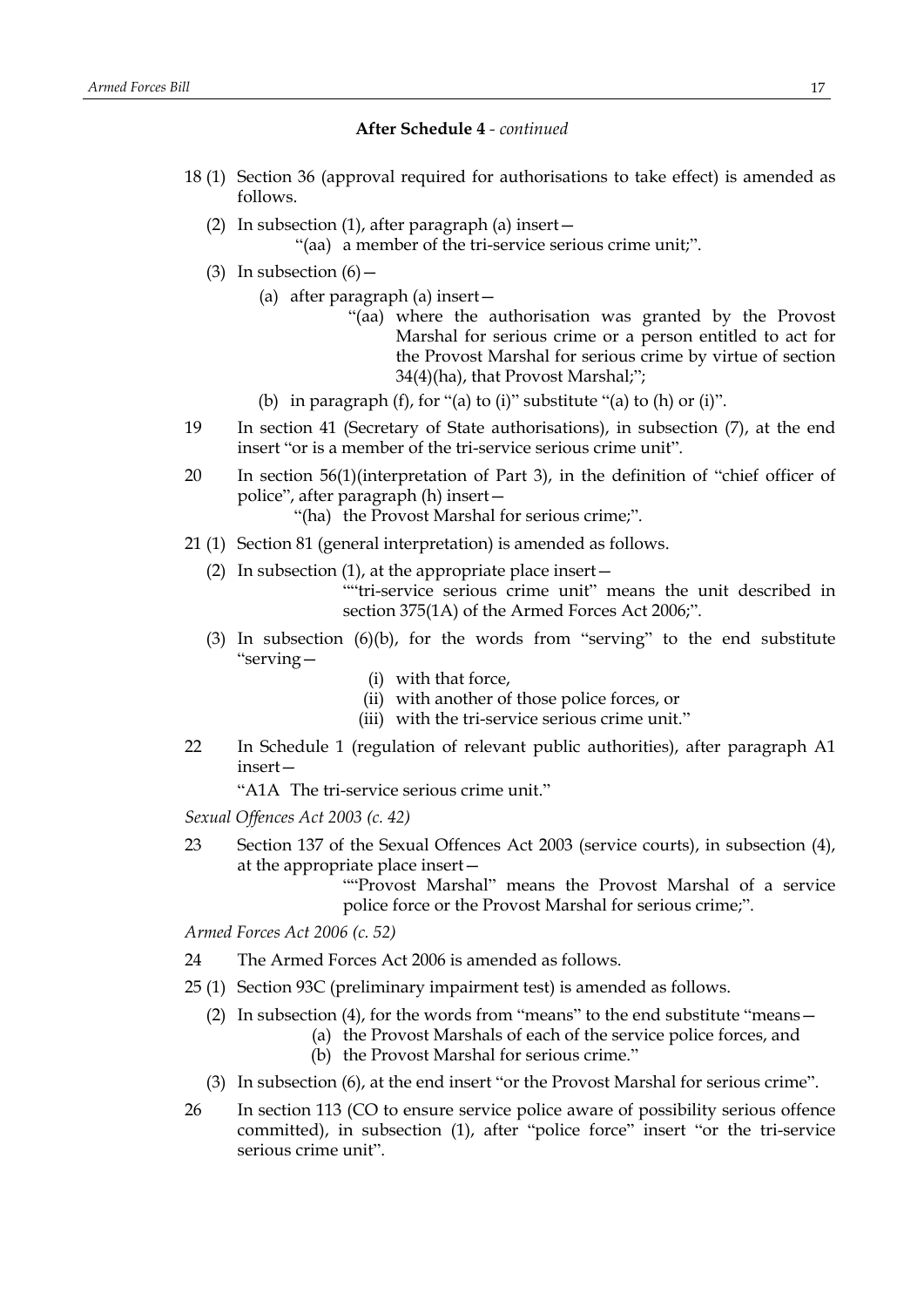- 18 (1) Section 36 (approval required for authorisations to take effect) is amended as follows.
	- (2) In subsection (1), after paragraph (a) insert—

"(aa) a member of the tri-service serious crime unit;".

- (3) In subsection  $(6)$ 
	- (a) after paragraph (a) insert—
		- "(aa) where the authorisation was granted by the Provost Marshal for serious crime or a person entitled to act for the Provost Marshal for serious crime by virtue of section 34(4)(ha), that Provost Marshal;";
	- (b) in paragraph  $(f)$ , for "(a) to  $(i)$ " substitute "(a) to  $(h)$  or  $(i)$ ".
- 19 In section 41 (Secretary of State authorisations), in subsection (7), at the end insert "or is a member of the tri-service serious crime unit".
- 20 In section 56(1)(interpretation of Part 3), in the definition of "chief officer of police", after paragraph (h) insert—
	- "(ha) the Provost Marshal for serious crime;".
- 21 (1) Section 81 (general interpretation) is amended as follows.
	- (2) In subsection (1), at the appropriate place insert—

""tri-service serious crime unit" means the unit described in section 375(1A) of the Armed Forces Act 2006;".

- (3) In subsection (6)(b), for the words from "serving" to the end substitute "serving—
	- (i) with that force,
	- (ii) with another of those police forces, or
	- (iii) with the tri-service serious crime unit."
- 22 In Schedule 1 (regulation of relevant public authorities), after paragraph A1 insert—

"A1A The tri-service serious crime unit."

*Sexual Offences Act 2003 (c. 42)*

23 Section 137 of the Sexual Offences Act 2003 (service courts), in subsection (4), at the appropriate place insert—

> ""Provost Marshal" means the Provost Marshal of a service police force or the Provost Marshal for serious crime;".

*Armed Forces Act 2006 (c. 52)*

- 24 The Armed Forces Act 2006 is amended as follows.
- 25 (1) Section 93C (preliminary impairment test) is amended as follows.
	- (2) In subsection (4), for the words from "means" to the end substitute "means—
		- (a) the Provost Marshals of each of the service police forces, and
		- (b) the Provost Marshal for serious crime."
	- (3) In subsection (6), at the end insert "or the Provost Marshal for serious crime".
- 26 In section 113 (CO to ensure service police aware of possibility serious offence committed), in subsection (1), after "police force" insert "or the tri-service serious crime unit".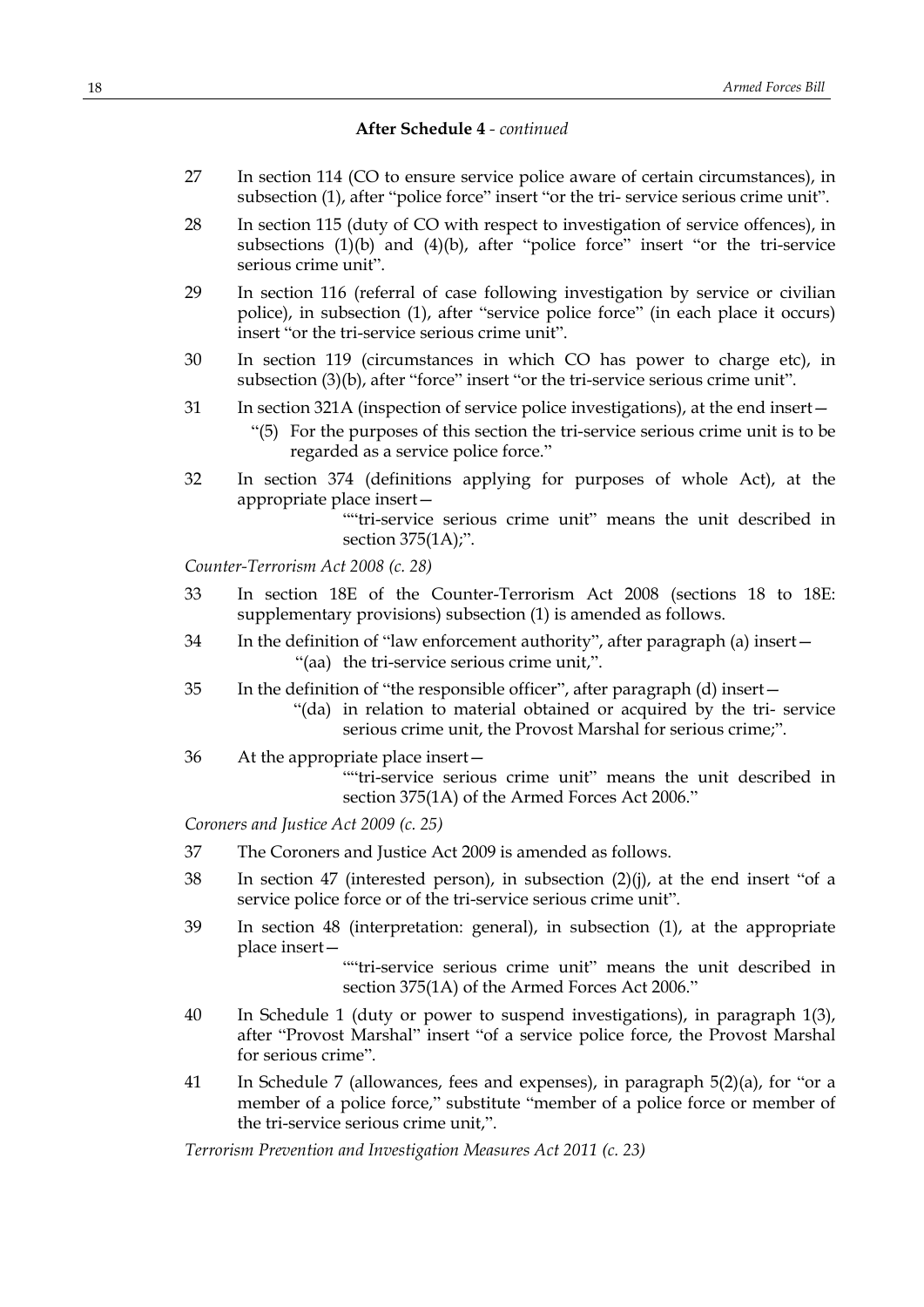- 27 In section 114 (CO to ensure service police aware of certain circumstances), in subsection (1), after "police force" insert "or the tri- service serious crime unit".
- 28 In section 115 (duty of CO with respect to investigation of service offences), in subsections  $(1)(b)$  and  $(4)(b)$ , after "police force" insert "or the tri-service serious crime unit".
- 29 In section 116 (referral of case following investigation by service or civilian police), in subsection (1), after "service police force" (in each place it occurs) insert "or the tri-service serious crime unit".
- 30 In section 119 (circumstances in which CO has power to charge etc), in subsection (3)(b), after "force" insert "or the tri-service serious crime unit".
- 31 In section 321A (inspection of service police investigations), at the end insert—
	- "(5) For the purposes of this section the tri-service serious crime unit is to be regarded as a service police force."
- 32 In section 374 (definitions applying for purposes of whole Act), at the appropriate place insert—

""tri-service serious crime unit" means the unit described in section 375(1A);".

*Counter-Terrorism Act 2008 (c. 28)*

- 33 In section 18E of the Counter-Terrorism Act 2008 (sections 18 to 18E: supplementary provisions) subsection (1) is amended as follows.
- 34 In the definition of "law enforcement authority", after paragraph (a) insert— "(aa) the tri-service serious crime unit,".
- 35 In the definition of "the responsible officer", after paragraph (d) insert—
	- "(da) in relation to material obtained or acquired by the tri- service serious crime unit, the Provost Marshal for serious crime;".
- 36 At the appropriate place insert—

""tri-service serious crime unit" means the unit described in section 375(1A) of the Armed Forces Act 2006."

*Coroners and Justice Act 2009 (c. 25)*

- 37 The Coroners and Justice Act 2009 is amended as follows.
- 38 In section 47 (interested person), in subsection (2)(j), at the end insert "of a service police force or of the tri-service serious crime unit".
- 39 In section 48 (interpretation: general), in subsection (1), at the appropriate place insert—

""tri-service serious crime unit" means the unit described in section 375(1A) of the Armed Forces Act 2006."

- 40 In Schedule 1 (duty or power to suspend investigations), in paragraph 1(3), after "Provost Marshal" insert "of a service police force, the Provost Marshal for serious crime".
- 41 In Schedule 7 (allowances, fees and expenses), in paragraph 5(2)(a), for "or a member of a police force," substitute "member of a police force or member of the tri-service serious crime unit,".

*Terrorism Prevention and Investigation Measures Act 2011 (c. 23)*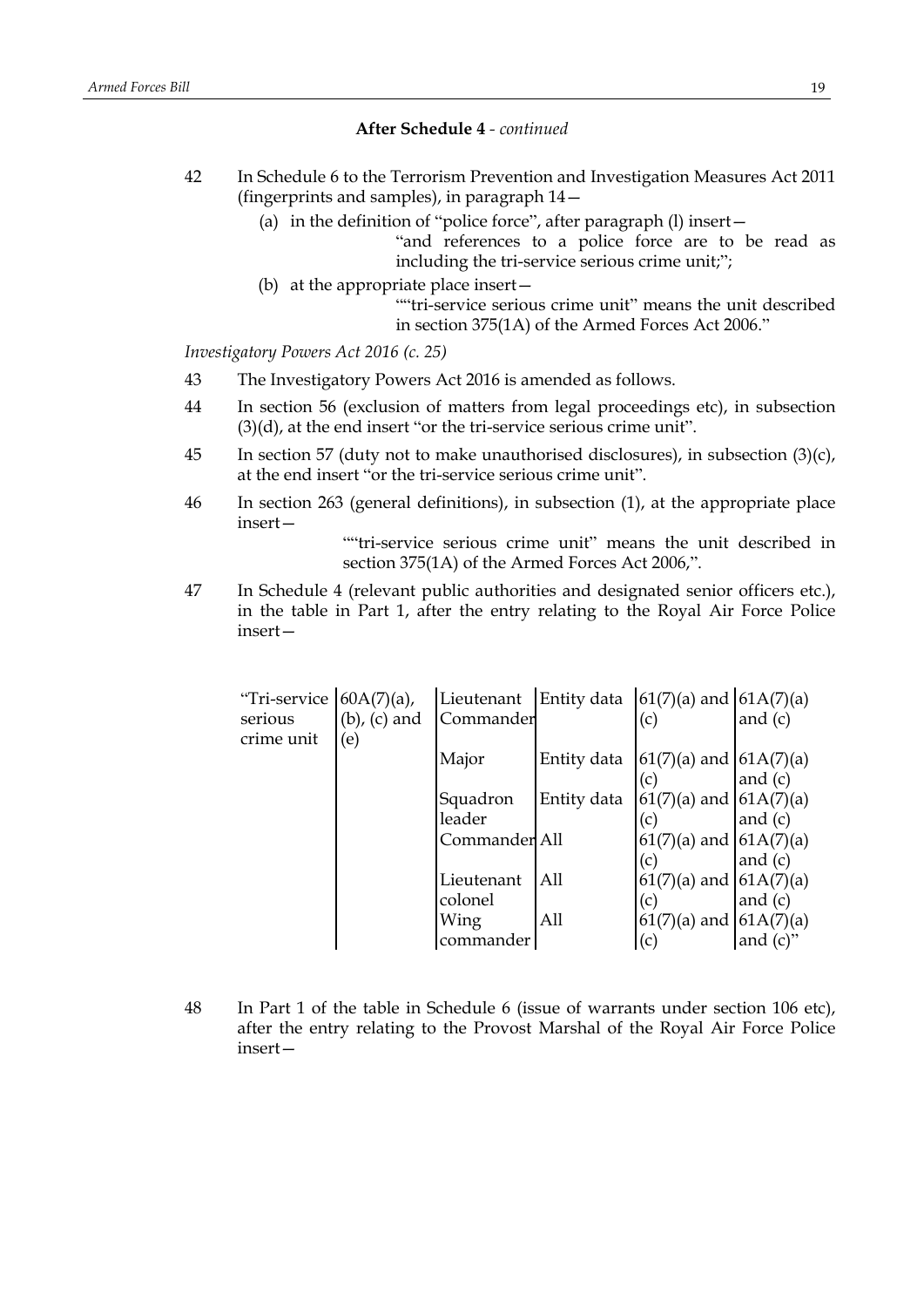- 42 In Schedule 6 to the Terrorism Prevention and Investigation Measures Act 2011 (fingerprints and samples), in paragraph 14—
	- (a) in the definition of "police force", after paragraph (l) insert—
		- "and references to a police force are to be read as including the tri-service serious crime unit;";
	- (b) at the appropriate place insert— ""tri-service serious crime unit" means the unit described in section 375(1A) of the Armed Forces Act 2006."

*Investigatory Powers Act 2016 (c. 25)*

- 43 The Investigatory Powers Act 2016 is amended as follows.
- 44 In section 56 (exclusion of matters from legal proceedings etc), in subsection (3)(d), at the end insert "or the tri-service serious crime unit".
- 45 In section 57 (duty not to make unauthorised disclosures), in subsection  $(3)(c)$ , at the end insert "or the tri-service serious crime unit".
- 46 In section 263 (general definitions), in subsection (1), at the appropriate place insert—

""tri-service serious crime unit" means the unit described in section 375(1A) of the Armed Forces Act 2006,".

47 In Schedule 4 (relevant public authorities and designated senior officers etc.), in the table in Part 1, after the entry relating to the Royal Air Force Police insert—

| "Tri-service | $60A(7)(a)$ ,     | Lieutenant    | Entity data | $(61(7)(a)$ and $(61A(7)(a))$ |             |
|--------------|-------------------|---------------|-------------|-------------------------------|-------------|
| serious      | $(b)$ , $(c)$ and | Commander     |             | (c)                           | and $(c)$   |
| crime unit   | (e)               |               |             |                               |             |
|              |                   | Major         | Entity data | $61(7)(a)$ and $(61A(7)(a))$  |             |
|              |                   |               |             | (c)                           | and $(c)$   |
|              |                   | Squadron      | Entity data | $61(7)(a)$ and $(61A(7)(a))$  |             |
|              |                   | leader        |             | (c)                           | and $(c)$   |
|              |                   | Commander All |             | $61(7)(a)$ and $(61A(7)(a))$  |             |
|              |                   |               |             | (c)                           | and $(c)$   |
|              |                   | Lieutenant    | All         | $61(7)(a)$ and $61A(7)(a)$    |             |
|              |                   | colonel       |             | (c)                           | and $(c)$   |
|              |                   | Wing          | All         | $61(7)(a)$ and $61A(7)(a)$    |             |
|              |                   | commander     |             | (c)                           | and $(c)$ " |

48 In Part 1 of the table in Schedule 6 (issue of warrants under section 106 etc), after the entry relating to the Provost Marshal of the Royal Air Force Police insert—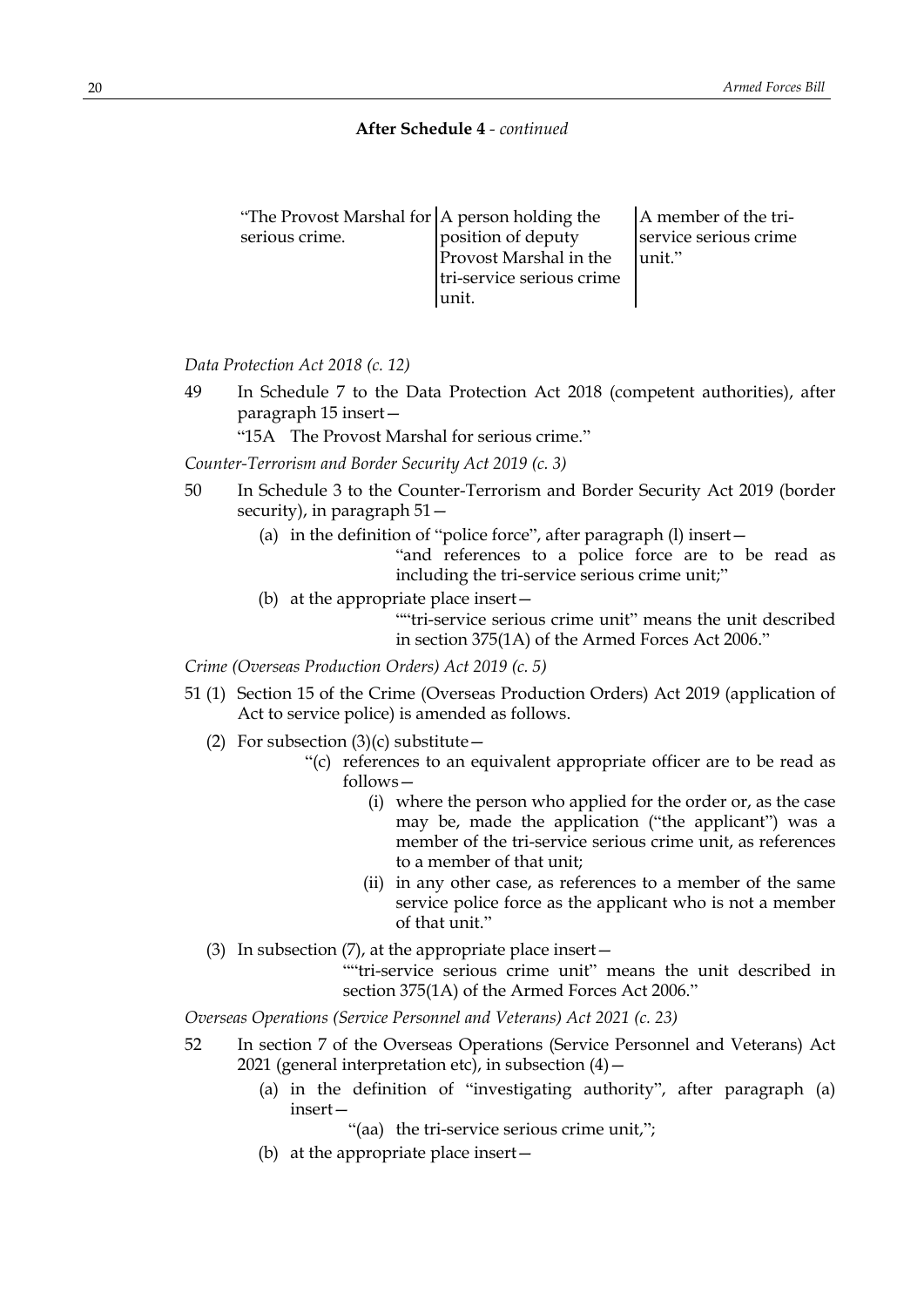| "The Provost Marshal for A person holding the |                           | A member of the tri-  |
|-----------------------------------------------|---------------------------|-----------------------|
| serious crime.                                | position of deputy        | service serious crime |
|                                               | Provost Marshal in the    | unit."                |
|                                               | tri-service serious crime |                       |
|                                               | Iunit.                    |                       |

*Data Protection Act 2018 (c. 12)*

49 In Schedule 7 to the Data Protection Act 2018 (competent authorities), after paragraph 15 insert—

"15A The Provost Marshal for serious crime."

*Counter-Terrorism and Border Security Act 2019 (c. 3)*

- 50 In Schedule 3 to the Counter-Terrorism and Border Security Act 2019 (border security), in paragraph 51—
	- (a) in the definition of "police force", after paragraph (l) insert—

"and references to a police force are to be read as including the tri-service serious crime unit;"

(b) at the appropriate place insert—

""tri-service serious crime unit" means the unit described in section 375(1A) of the Armed Forces Act 2006."

*Crime (Overseas Production Orders) Act 2019 (c. 5)*

- 51 (1) Section 15 of the Crime (Overseas Production Orders) Act 2019 (application of Act to service police) is amended as follows.
	- (2) For subsection  $(3)(c)$  substitute
		- "(c) references to an equivalent appropriate officer are to be read as follows—
			- (i) where the person who applied for the order or, as the case may be, made the application ("the applicant") was a member of the tri-service serious crime unit, as references to a member of that unit;
			- (ii) in any other case, as references to a member of the same service police force as the applicant who is not a member of that unit."
	- (3) In subsection  $(7)$ , at the appropriate place insert —

""tri-service serious crime unit" means the unit described in section 375(1A) of the Armed Forces Act 2006."

*Overseas Operations (Service Personnel and Veterans) Act 2021 (c. 23)*

- 52 In section 7 of the Overseas Operations (Service Personnel and Veterans) Act 2021 (general interpretation etc), in subsection  $(4)$  –
	- (a) in the definition of "investigating authority", after paragraph (a) insert—

"(aa) the tri-service serious crime unit,";

(b) at the appropriate place insert—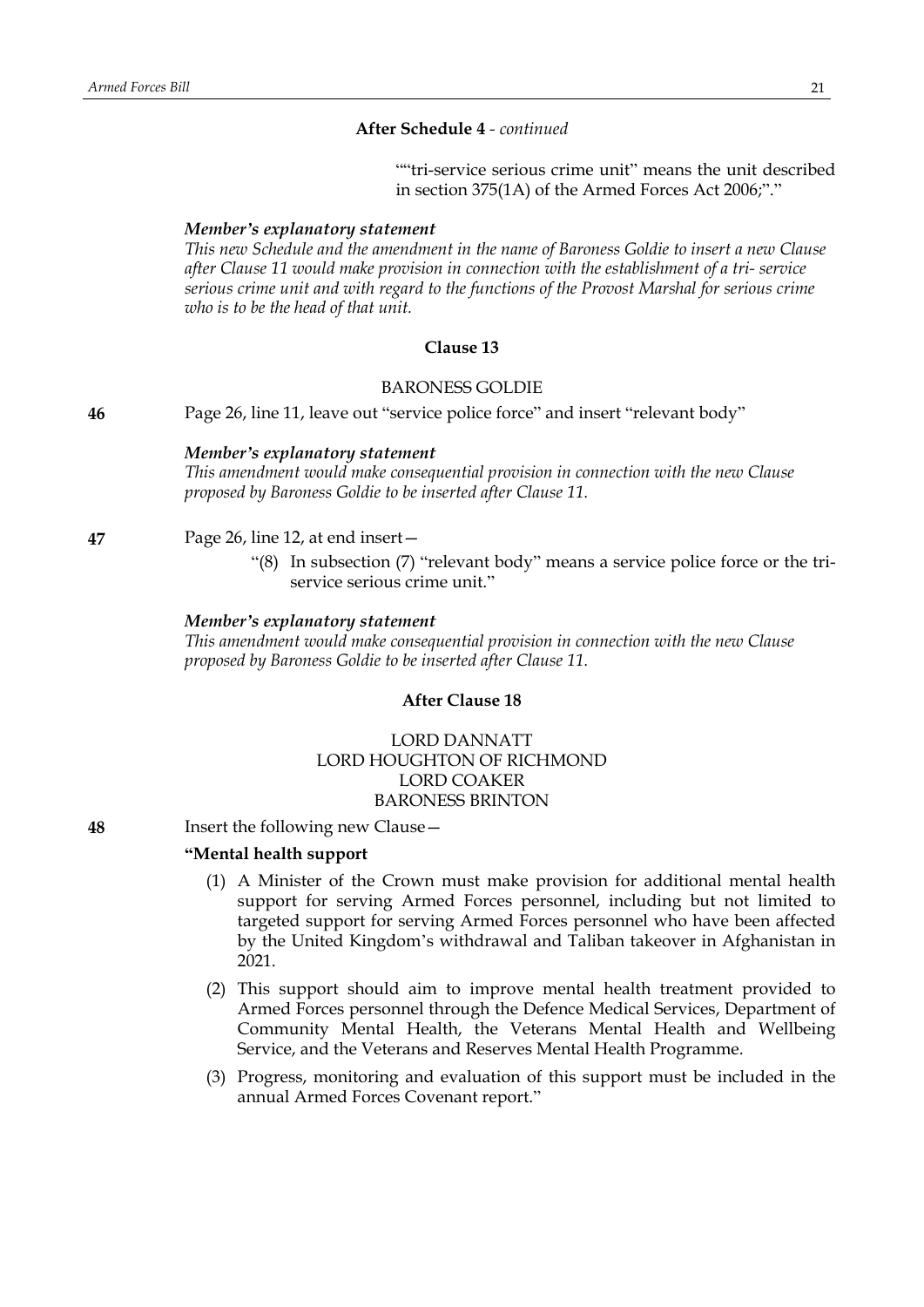""tri-service serious crime unit" means the unit described in section 375(1A) of the Armed Forces Act 2006;"."

#### *Member's explanatory statement*

*This new Schedule and the amendment in the name of Baroness Goldie to insert a new Clause after Clause 11 would make provision in connection with the establishment of a tri- service serious crime unit and with regard to the functions of the Provost Marshal for serious crime who is to be the head of that unit.*

# **Clause 13**

### BARONESS GOLDIE

**46** Page 26, line 11, leave out "service police force" and insert "relevant body"

#### *Member's explanatory statement*

*This amendment would make consequential provision in connection with the new Clause proposed by Baroness Goldie to be inserted after Clause 11.*

# **47** Page 26, line 12, at end insert—

"(8) In subsection (7) "relevant body" means a service police force or the triservice serious crime unit."

## *Member's explanatory statement*

*This amendment would make consequential provision in connection with the new Clause proposed by Baroness Goldie to be inserted after Clause 11.*

# **After Clause 18**

# LORD DANNATT LORD HOUGHTON OF RICHMOND LORD COAKER BARONESS BRINTON

**48** Insert the following new Clause—

## **"Mental health support**

- (1) A Minister of the Crown must make provision for additional mental health support for serving Armed Forces personnel, including but not limited to targeted support for serving Armed Forces personnel who have been affected by the United Kingdom's withdrawal and Taliban takeover in Afghanistan in 2021.
- (2) This support should aim to improve mental health treatment provided to Armed Forces personnel through the Defence Medical Services, Department of Community Mental Health, the Veterans Mental Health and Wellbeing Service, and the Veterans and Reserves Mental Health Programme.
- (3) Progress, monitoring and evaluation of this support must be included in the annual Armed Forces Covenant report."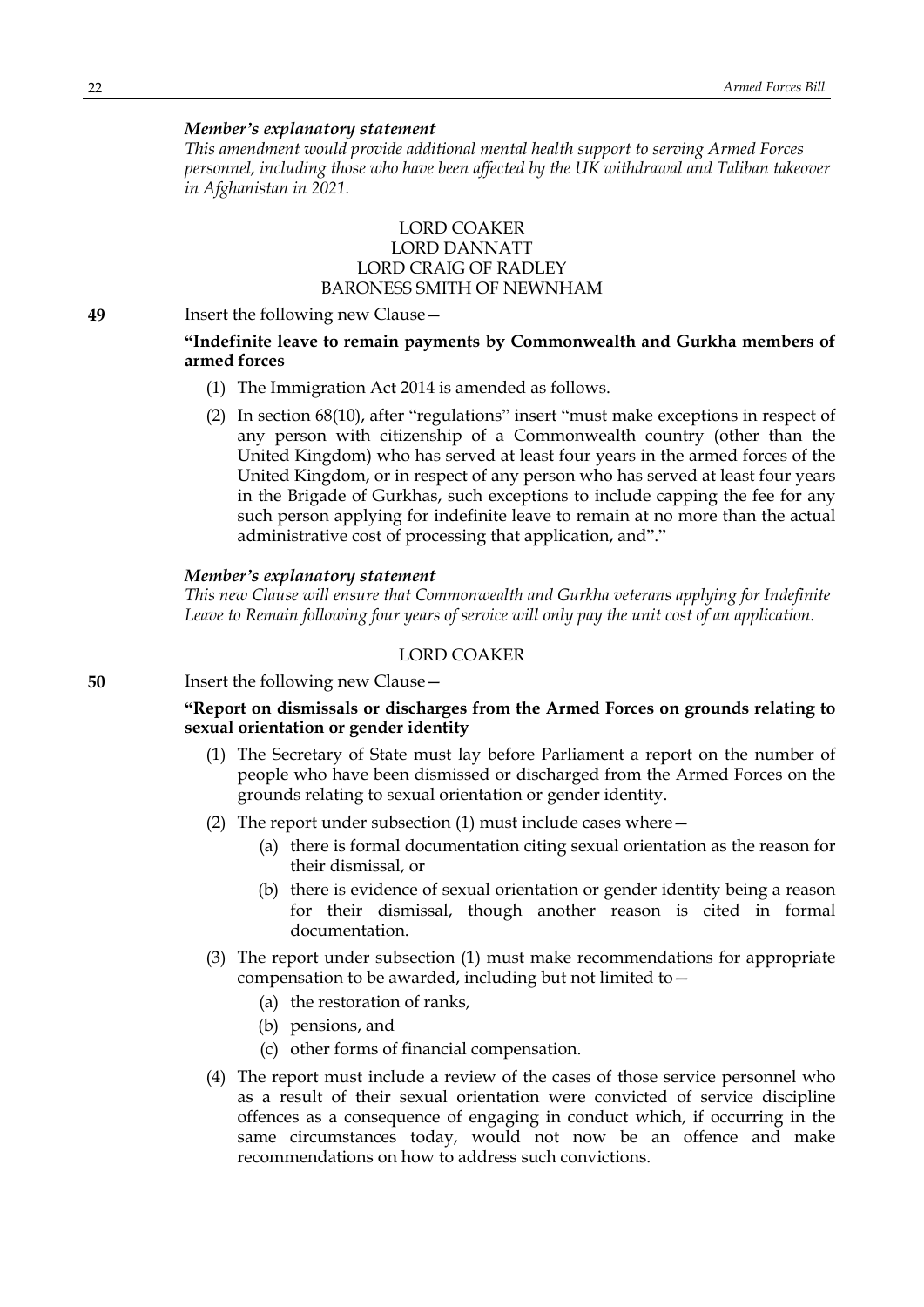#### *Member's explanatory statement*

*This amendment would provide additional mental health support to serving Armed Forces personnel, including those who have been affected by the UK withdrawal and Taliban takeover in Afghanistan in 2021.*

# LORD COAKER LORD DANNATT LORD CRAIG OF RADLEY BARONESS SMITH OF NEWNHAM

**49** Insert the following new Clause—

# **"Indefinite leave to remain payments by Commonwealth and Gurkha members of armed forces**

- (1) The Immigration Act 2014 is amended as follows.
- (2) In section 68(10), after "regulations" insert "must make exceptions in respect of any person with citizenship of a Commonwealth country (other than the United Kingdom) who has served at least four years in the armed forces of the United Kingdom, or in respect of any person who has served at least four years in the Brigade of Gurkhas, such exceptions to include capping the fee for any such person applying for indefinite leave to remain at no more than the actual administrative cost of processing that application, and"."

## *Member's explanatory statement*

*This new Clause will ensure that Commonwealth and Gurkha veterans applying for Indefinite Leave to Remain following four years of service will only pay the unit cost of an application.*

# LORD COAKER

**50** Insert the following new Clause—

# **"Report on dismissals or discharges from the Armed Forces on grounds relating to sexual orientation or gender identity**

- (1) The Secretary of State must lay before Parliament a report on the number of people who have been dismissed or discharged from the Armed Forces on the grounds relating to sexual orientation or gender identity.
- (2) The report under subsection (1) must include cases where—
	- (a) there is formal documentation citing sexual orientation as the reason for their dismissal, or
	- (b) there is evidence of sexual orientation or gender identity being a reason for their dismissal, though another reason is cited in formal documentation.
- (3) The report under subsection (1) must make recommendations for appropriate compensation to be awarded, including but not limited to—
	- (a) the restoration of ranks,
	- (b) pensions, and
	- (c) other forms of financial compensation.
- (4) The report must include a review of the cases of those service personnel who as a result of their sexual orientation were convicted of service discipline offences as a consequence of engaging in conduct which, if occurring in the same circumstances today, would not now be an offence and make recommendations on how to address such convictions.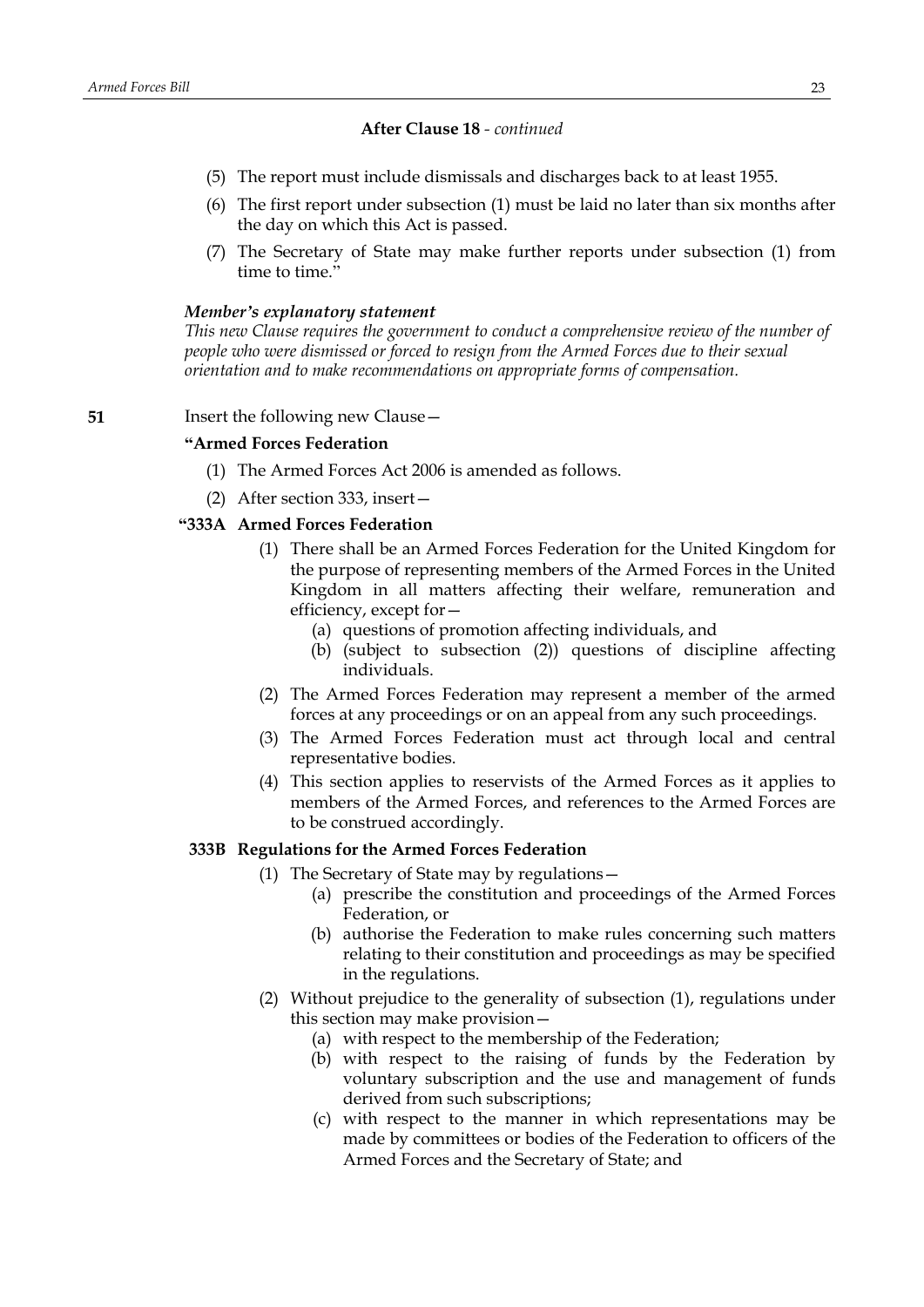## **After Clause 18** *- continued*

- (5) The report must include dismissals and discharges back to at least 1955.
- (6) The first report under subsection (1) must be laid no later than six months after the day on which this Act is passed.
- (7) The Secretary of State may make further reports under subsection (1) from time to time."

## *Member's explanatory statement*

*This new Clause requires the government to conduct a comprehensive review of the number of people who were dismissed or forced to resign from the Armed Forces due to their sexual orientation and to make recommendations on appropriate forms of compensation.*

**51** Insert the following new Clause —

# **"Armed Forces Federation**

- (1) The Armed Forces Act 2006 is amended as follows.
- (2) After section 333, insert—

# **"333A Armed Forces Federation**

- (1) There shall be an Armed Forces Federation for the United Kingdom for the purpose of representing members of the Armed Forces in the United Kingdom in all matters affecting their welfare, remuneration and efficiency, except for—
	- (a) questions of promotion affecting individuals, and
	- (b) (subject to subsection (2)) questions of discipline affecting individuals.
- (2) The Armed Forces Federation may represent a member of the armed forces at any proceedings or on an appeal from any such proceedings.
- (3) The Armed Forces Federation must act through local and central representative bodies.
- (4) This section applies to reservists of the Armed Forces as it applies to members of the Armed Forces, and references to the Armed Forces are to be construed accordingly.

## **333B Regulations for the Armed Forces Federation**

- (1) The Secretary of State may by regulations—
	- (a) prescribe the constitution and proceedings of the Armed Forces Federation, or
	- (b) authorise the Federation to make rules concerning such matters relating to their constitution and proceedings as may be specified in the regulations.
- (2) Without prejudice to the generality of subsection (1), regulations under this section may make provision—
	- (a) with respect to the membership of the Federation;
	- (b) with respect to the raising of funds by the Federation by voluntary subscription and the use and management of funds derived from such subscriptions;
	- (c) with respect to the manner in which representations may be made by committees or bodies of the Federation to officers of the Armed Forces and the Secretary of State; and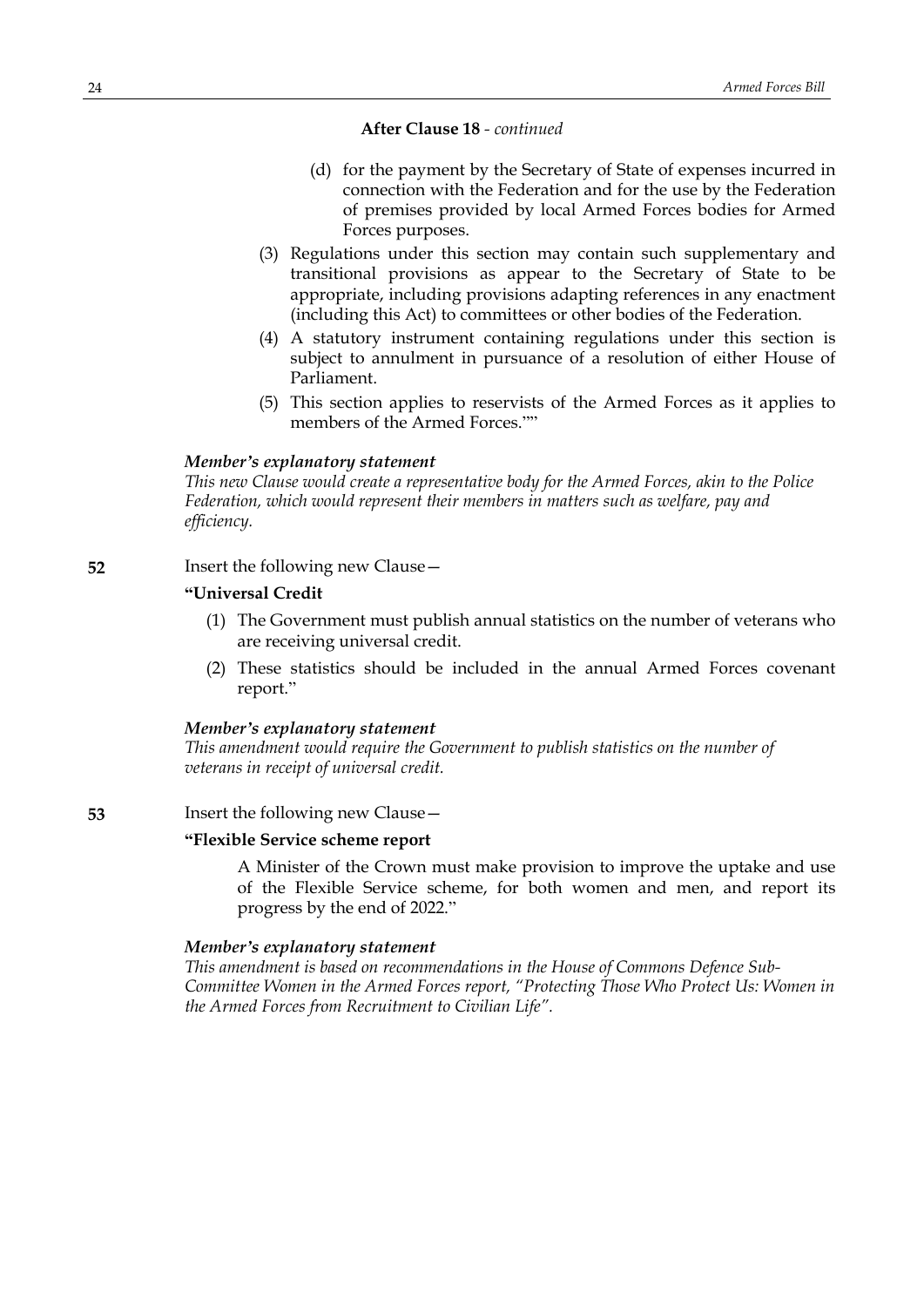# **After Clause 18** *- continued*

- (d) for the payment by the Secretary of State of expenses incurred in connection with the Federation and for the use by the Federation of premises provided by local Armed Forces bodies for Armed Forces purposes.
- (3) Regulations under this section may contain such supplementary and transitional provisions as appear to the Secretary of State to be appropriate, including provisions adapting references in any enactment (including this Act) to committees or other bodies of the Federation.
- (4) A statutory instrument containing regulations under this section is subject to annulment in pursuance of a resolution of either House of Parliament.
- (5) This section applies to reservists of the Armed Forces as it applies to members of the Armed Forces.""

#### *Member's explanatory statement*

*This new Clause would create a representative body for the Armed Forces, akin to the Police Federation, which would represent their members in matters such as welfare, pay and efficiency.*

**52** Insert the following new Clause—

# **"Universal Credit**

- (1) The Government must publish annual statistics on the number of veterans who are receiving universal credit.
- (2) These statistics should be included in the annual Armed Forces covenant report."

#### *Member's explanatory statement*

*This amendment would require the Government to publish statistics on the number of veterans in receipt of universal credit.*

**53** Insert the following new Clause—

## **"Flexible Service scheme report**

A Minister of the Crown must make provision to improve the uptake and use of the Flexible Service scheme, for both women and men, and report its progress by the end of 2022."

#### *Member's explanatory statement*

*This amendment is based on recommendations in the House of Commons Defence Sub-Committee Women in the Armed Forces report, "Protecting Those Who Protect Us: Women in the Armed Forces from Recruitment to Civilian Life".*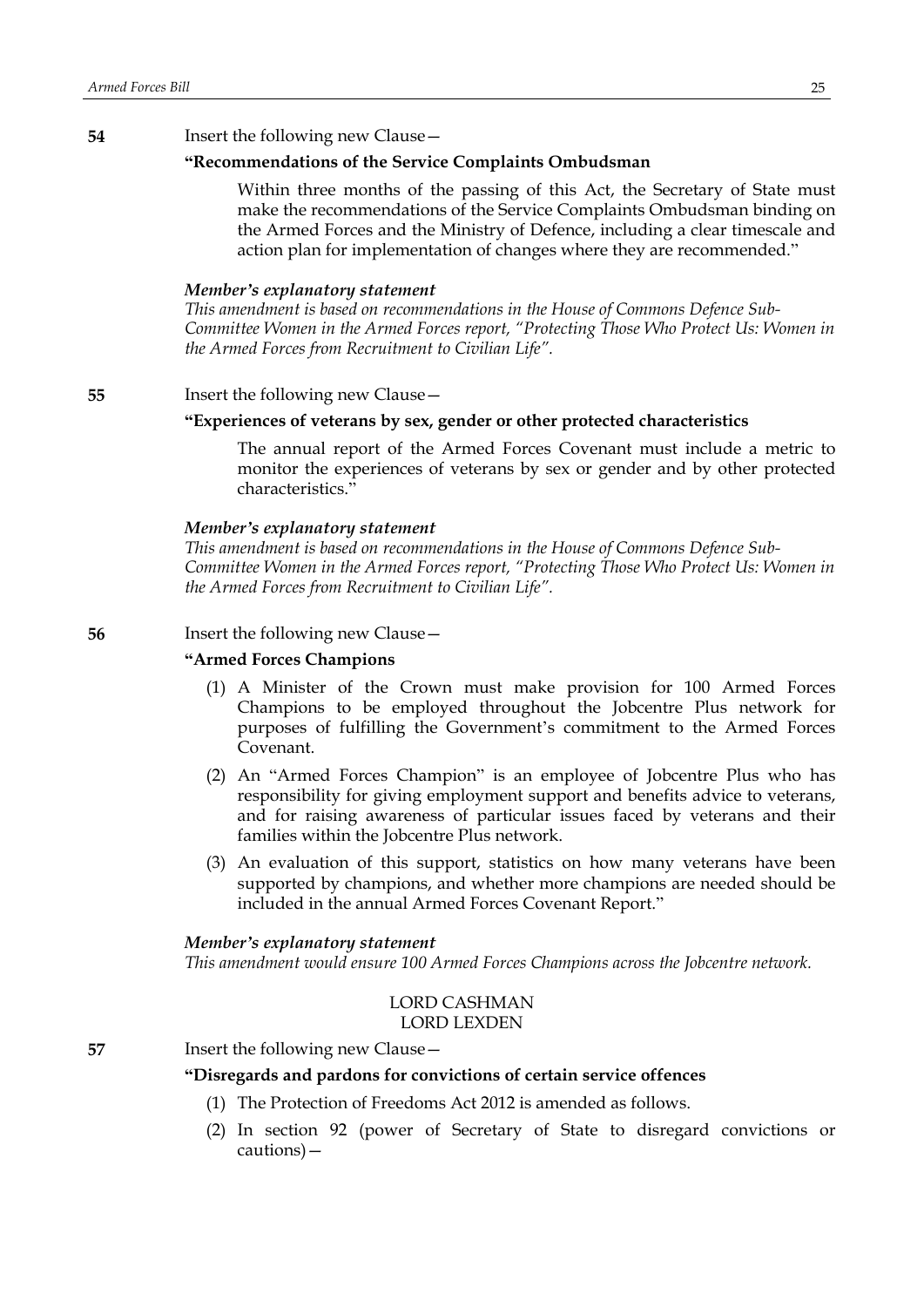#### **54** Insert the following new Clause—

# **"Recommendations of the Service Complaints Ombudsman**

Within three months of the passing of this Act, the Secretary of State must make the recommendations of the Service Complaints Ombudsman binding on the Armed Forces and the Ministry of Defence, including a clear timescale and action plan for implementation of changes where they are recommended."

#### *Member's explanatory statement*

*This amendment is based on recommendations in the House of Commons Defence Sub-Committee Women in the Armed Forces report, "Protecting Those Who Protect Us: Women in the Armed Forces from Recruitment to Civilian Life".*

# **55** Insert the following new Clause—

#### **"Experiences of veterans by sex, gender or other protected characteristics**

The annual report of the Armed Forces Covenant must include a metric to monitor the experiences of veterans by sex or gender and by other protected characteristics."

#### *Member's explanatory statement*

*This amendment is based on recommendations in the House of Commons Defence Sub-Committee Women in the Armed Forces report, "Protecting Those Who Protect Us: Women in the Armed Forces from Recruitment to Civilian Life".*

**56** Insert the following new Clause —

#### **"Armed Forces Champions**

- (1) A Minister of the Crown must make provision for 100 Armed Forces Champions to be employed throughout the Jobcentre Plus network for purposes of fulfilling the Government's commitment to the Armed Forces Covenant.
- (2) An "Armed Forces Champion" is an employee of Jobcentre Plus who has responsibility for giving employment support and benefits advice to veterans, and for raising awareness of particular issues faced by veterans and their families within the Jobcentre Plus network.
- (3) An evaluation of this support, statistics on how many veterans have been supported by champions, and whether more champions are needed should be included in the annual Armed Forces Covenant Report."

#### *Member's explanatory statement*

*This amendment would ensure 100 Armed Forces Champions across the Jobcentre network.*

### LORD CASHMAN LORD LEXDEN

#### **57** Insert the following new Clause—

#### **"Disregards and pardons for convictions of certain service offences**

- (1) The Protection of Freedoms Act 2012 is amended as follows.
- (2) In section 92 (power of Secretary of State to disregard convictions or cautions)—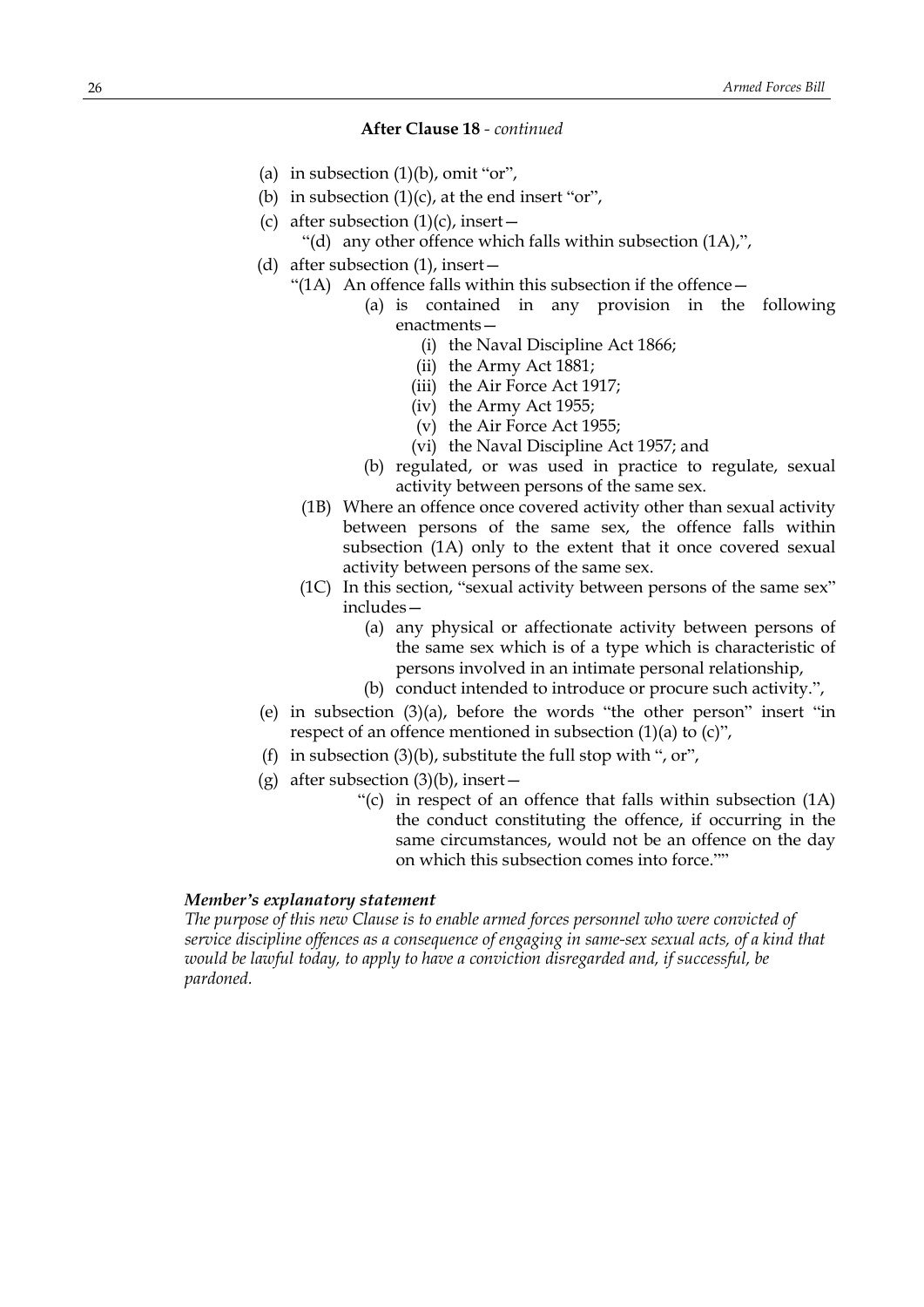# **After Clause 18** *- continued*

- (a) in subsection  $(1)(b)$ , omit "or",
- (b) in subsection  $(1)(c)$ , at the end insert "or",
- (c) after subsection  $(1)(c)$ , insert
	- "(d) any other offence which falls within subsection (1A),",
- (d) after subsection (1), insert—
	- "(1A) An offence falls within this subsection if the offence—
		- (a) is contained in any provision in the following enactments—
			- (i) the Naval Discipline Act 1866;
			- (ii) the Army Act 1881;
			- (iii) the Air Force Act 1917;
			- (iv) the Army Act 1955;
			- (v) the Air Force Act 1955;
			- (vi) the Naval Discipline Act 1957; and
		- (b) regulated, or was used in practice to regulate, sexual activity between persons of the same sex.
		- (1B) Where an offence once covered activity other than sexual activity between persons of the same sex, the offence falls within subsection (1A) only to the extent that it once covered sexual activity between persons of the same sex.
	- (1C) In this section, "sexual activity between persons of the same sex" includes—
		- (a) any physical or affectionate activity between persons of the same sex which is of a type which is characteristic of persons involved in an intimate personal relationship,
		- (b) conduct intended to introduce or procure such activity.",
- (e) in subsection (3)(a), before the words "the other person" insert "in respect of an offence mentioned in subsection (1)(a) to (c)",
- (f) in subsection  $(3)(b)$ , substitute the full stop with ", or",
- (g) after subsection  $(3)(b)$ , insert
	- "(c) in respect of an offence that falls within subsection (1A) the conduct constituting the offence, if occurring in the same circumstances, would not be an offence on the day on which this subsection comes into force.""

#### *Member's explanatory statement*

*The purpose of this new Clause is to enable armed forces personnel who were convicted of service discipline offences as a consequence of engaging in same-sex sexual acts, of a kind that would be lawful today, to apply to have a conviction disregarded and, if successful, be pardoned.*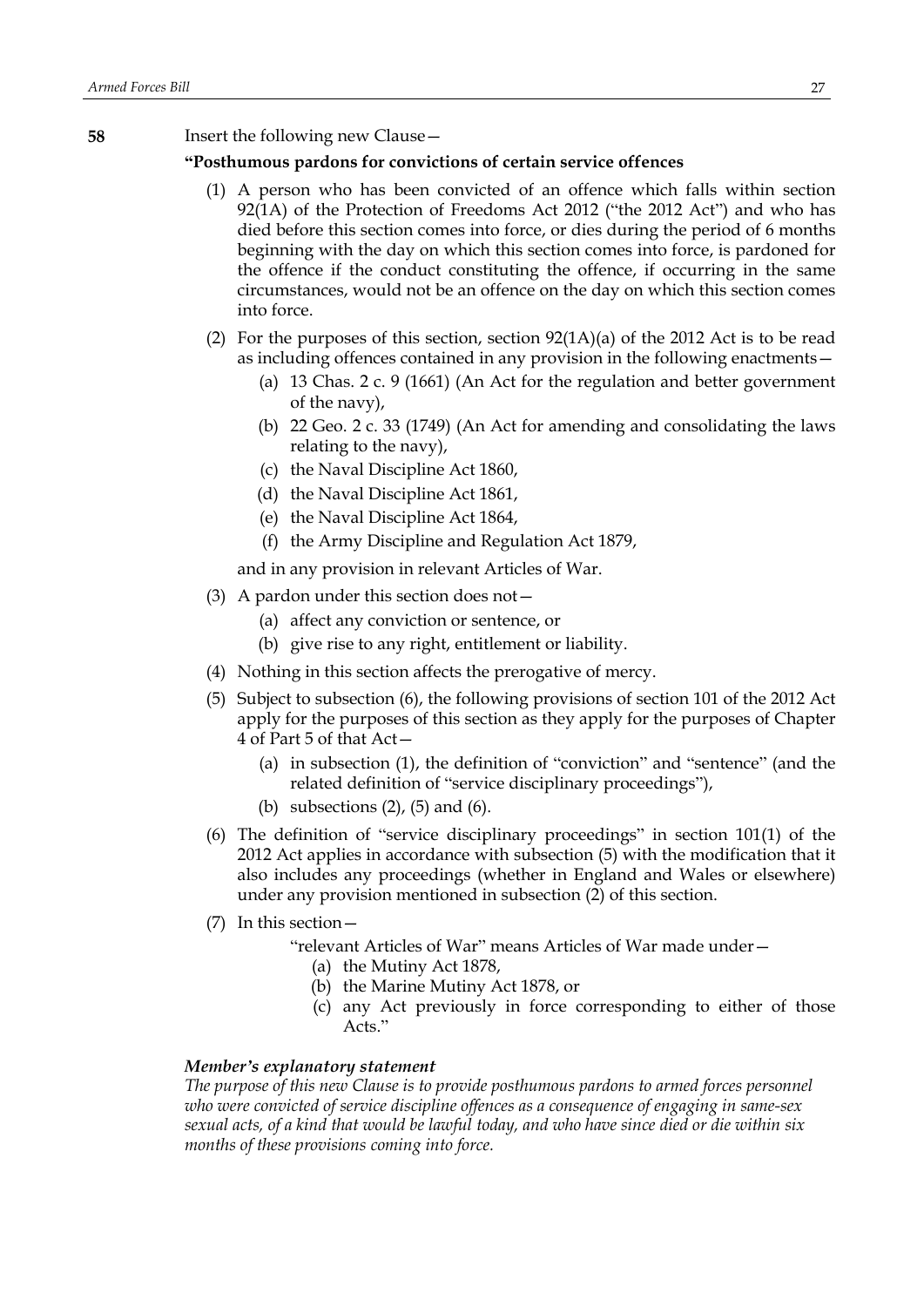**58** Insert the following new Clause—

# **"Posthumous pardons for convictions of certain service offences**

- (1) A person who has been convicted of an offence which falls within section 92(1A) of the Protection of Freedoms Act 2012 ("the 2012 Act") and who has died before this section comes into force, or dies during the period of 6 months beginning with the day on which this section comes into force, is pardoned for the offence if the conduct constituting the offence, if occurring in the same circumstances, would not be an offence on the day on which this section comes into force.
- (2) For the purposes of this section, section  $92(1A)(a)$  of the 2012 Act is to be read as including offences contained in any provision in the following enactments—
	- (a) 13 Chas. 2 c. 9 (1661) (An Act for the regulation and better government of the navy),
	- (b) 22 Geo. 2 c. 33 (1749) (An Act for amending and consolidating the laws relating to the navy),
	- (c) the Naval Discipline Act 1860,
	- (d) the Naval Discipline Act 1861,
	- (e) the Naval Discipline Act 1864,
	- (f) the Army Discipline and Regulation Act 1879,

and in any provision in relevant Articles of War.

- (3) A pardon under this section does not—
	- (a) affect any conviction or sentence, or
	- (b) give rise to any right, entitlement or liability.
- (4) Nothing in this section affects the prerogative of mercy.
- (5) Subject to subsection (6), the following provisions of section 101 of the 2012 Act apply for the purposes of this section as they apply for the purposes of Chapter 4 of Part 5 of that Act—
	- (a) in subsection (1), the definition of "conviction" and "sentence" (and the related definition of "service disciplinary proceedings"),
	- (b) subsections  $(2)$ ,  $(5)$  and  $(6)$ .
- (6) The definition of "service disciplinary proceedings" in section 101(1) of the 2012 Act applies in accordance with subsection (5) with the modification that it also includes any proceedings (whether in England and Wales or elsewhere) under any provision mentioned in subsection (2) of this section.
- (7) In this section—
	- "relevant Articles of War" means Articles of War made under—
		- (a) the Mutiny Act 1878,
		- (b) the Marine Mutiny Act 1878, or
		- (c) any Act previously in force corresponding to either of those Acts."

#### *Member's explanatory statement*

*The purpose of this new Clause is to provide posthumous pardons to armed forces personnel who were convicted of service discipline offences as a consequence of engaging in same-sex* sexual acts, of a kind that would be lawful today, and who have since died or die within six *months of these provisions coming into force.*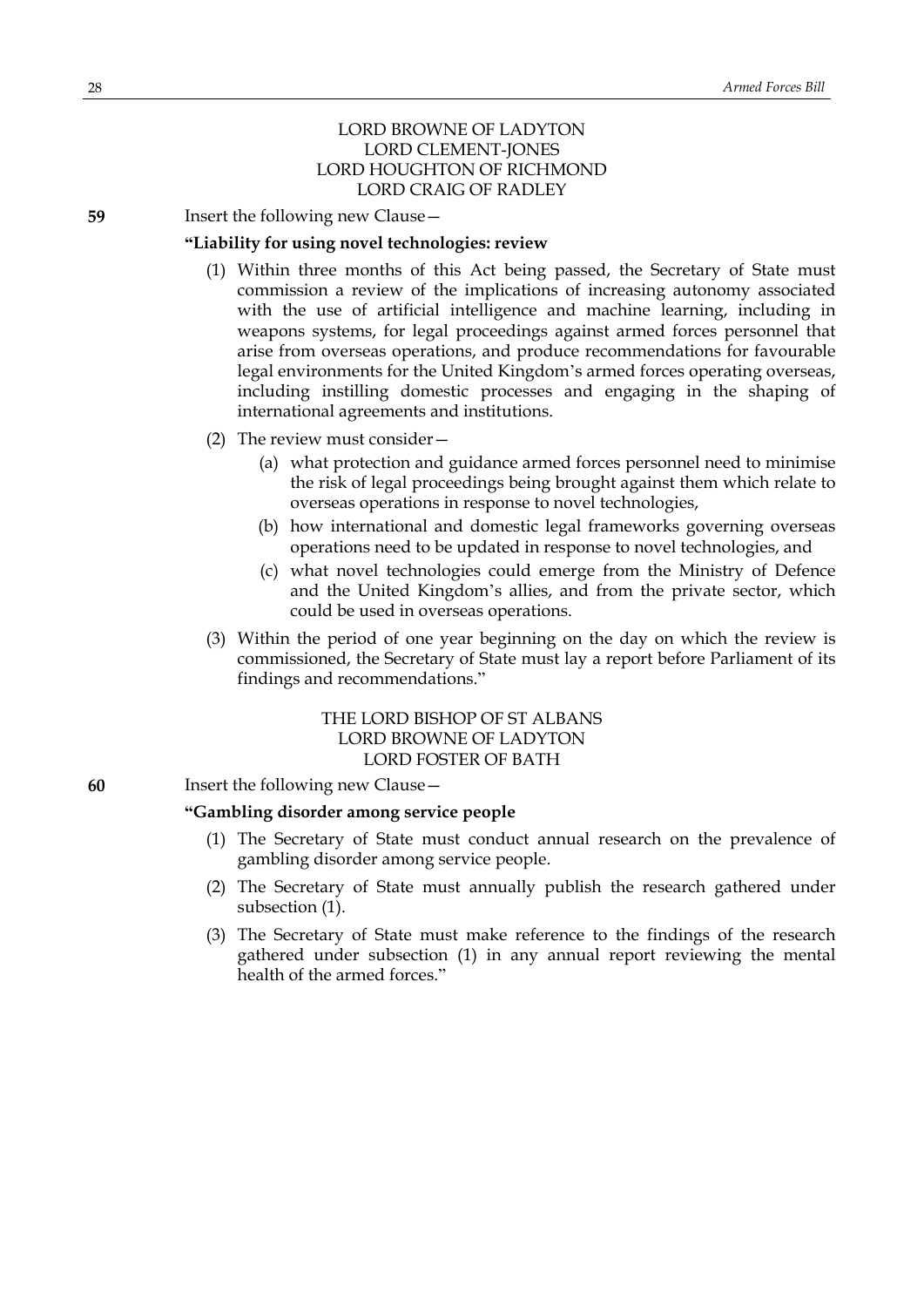# LORD BROWNE OF LADYTON LORD CLEMENT-JONES LORD HOUGHTON OF RICHMOND LORD CRAIG OF RADLEY

**59** Insert the following new Clause -

#### **"Liability for using novel technologies: review**

- (1) Within three months of this Act being passed, the Secretary of State must commission a review of the implications of increasing autonomy associated with the use of artificial intelligence and machine learning, including in weapons systems, for legal proceedings against armed forces personnel that arise from overseas operations, and produce recommendations for favourable legal environments for the United Kingdom's armed forces operating overseas, including instilling domestic processes and engaging in the shaping of international agreements and institutions.
- (2) The review must consider—
	- (a) what protection and guidance armed forces personnel need to minimise the risk of legal proceedings being brought against them which relate to overseas operations in response to novel technologies,
	- (b) how international and domestic legal frameworks governing overseas operations need to be updated in response to novel technologies, and
	- (c) what novel technologies could emerge from the Ministry of Defence and the United Kingdom's allies, and from the private sector, which could be used in overseas operations.
- (3) Within the period of one year beginning on the day on which the review is commissioned, the Secretary of State must lay a report before Parliament of its findings and recommendations."

# THE LORD BISHOP OF ST ALBANS LORD BROWNE OF LADYTON LORD FOSTER OF BATH

#### **60** Insert the following new Clause—

### **"Gambling disorder among service people**

- (1) The Secretary of State must conduct annual research on the prevalence of gambling disorder among service people.
- (2) The Secretary of State must annually publish the research gathered under subsection (1).
- (3) The Secretary of State must make reference to the findings of the research gathered under subsection (1) in any annual report reviewing the mental health of the armed forces."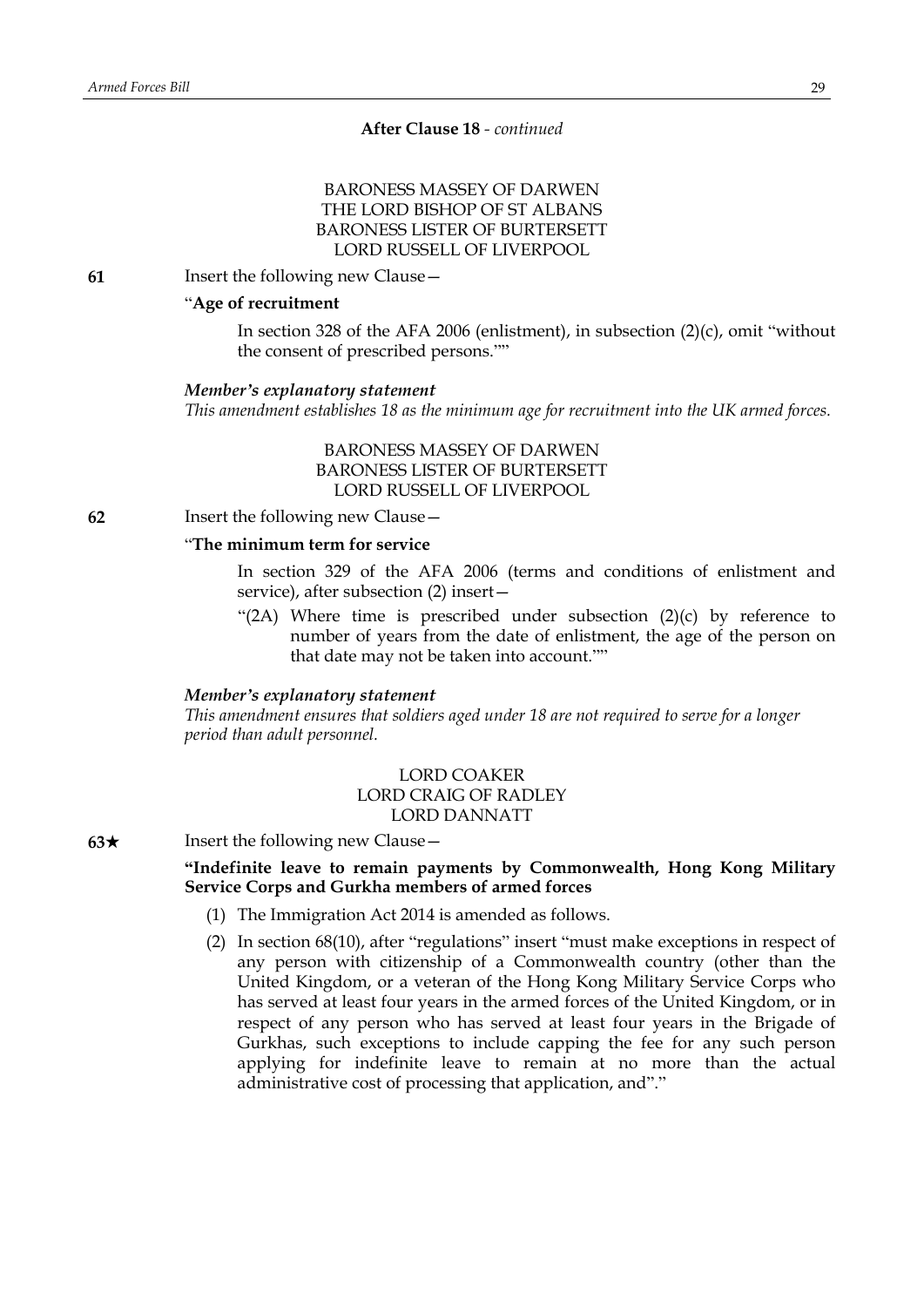# **After Clause 18** *- continued*

# BARONESS MASSEY OF DARWEN THE LORD BISHOP OF ST ALBANS BARONESS LISTER OF BURTERSETT LORD RUSSELL OF LIVERPOOL

**61** Insert the following new Clause—

# "**Age of recruitment**

In section 328 of the AFA 2006 (enlistment), in subsection  $(2)(c)$ , omit "without the consent of prescribed persons.""

#### *Member's explanatory statement*

*This amendment establishes 18 as the minimum age for recruitment into the UK armed forces.*

BARONESS MASSEY OF DARWEN BARONESS LISTER OF BURTERSETT LORD RUSSELL OF LIVERPOOL

**62** Insert the following new Clause—

#### "**The minimum term for service**

In section 329 of the AFA 2006 (terms and conditions of enlistment and service), after subsection (2) insert—

"(2A) Where time is prescribed under subsection (2)(c) by reference to number of years from the date of enlistment, the age of the person on that date may not be taken into account.""

#### *Member's explanatory statement*

*This amendment ensures that soldiers aged under 18 are not required to serve for a longer period than adult personnel.*

# LORD COAKER LORD CRAIG OF RADLEY LORD DANNATT

**63**★ Insert the following new Clause —

# **"Indefinite leave to remain payments by Commonwealth, Hong Kong Military Service Corps and Gurkha members of armed forces**

- (1) The Immigration Act 2014 is amended as follows.
- (2) In section 68(10), after "regulations" insert "must make exceptions in respect of any person with citizenship of a Commonwealth country (other than the United Kingdom, or a veteran of the Hong Kong Military Service Corps who has served at least four years in the armed forces of the United Kingdom, or in respect of any person who has served at least four years in the Brigade of Gurkhas, such exceptions to include capping the fee for any such person applying for indefinite leave to remain at no more than the actual administrative cost of processing that application, and"."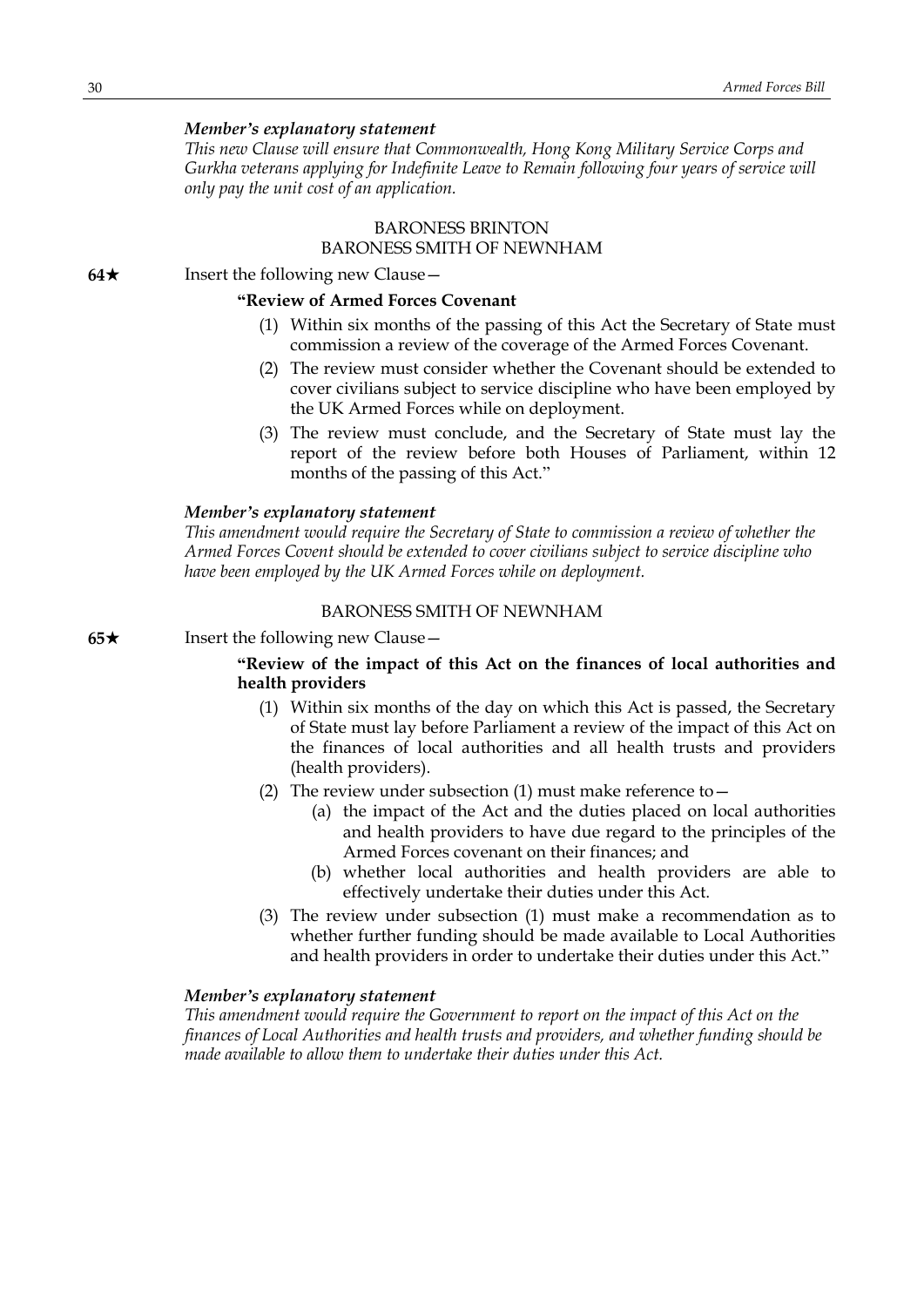#### *Member's explanatory statement*

*This new Clause will ensure that Commonwealth, Hong Kong Military Service Corps and Gurkha veterans applying for Indefinite Leave to Remain following four years of service will only pay the unit cost of an application.*

# BARONESS BRINTON BARONESS SMITH OF NEWNHAM

**64**★ Insert the following new Clause

## **"Review of Armed Forces Covenant**

- (1) Within six months of the passing of this Act the Secretary of State must commission a review of the coverage of the Armed Forces Covenant.
- (2) The review must consider whether the Covenant should be extended to cover civilians subject to service discipline who have been employed by the UK Armed Forces while on deployment.
- (3) The review must conclude, and the Secretary of State must lay the report of the review before both Houses of Parliament, within 12 months of the passing of this Act."

#### *Member's explanatory statement*

*This amendment would require the Secretary of State to commission a review of whether the Armed Forces Covent should be extended to cover civilians subject to service discipline who have been employed by the UK Armed Forces while on deployment.*

## BARONESS SMITH OF NEWNHAM

**65**★ Insert the following new Clause —

# **"Review of the impact of this Act on the finances of local authorities and health providers**

- (1) Within six months of the day on which this Act is passed, the Secretary of State must lay before Parliament a review of the impact of this Act on the finances of local authorities and all health trusts and providers (health providers).
- (2) The review under subsection (1) must make reference to  $-$ 
	- (a) the impact of the Act and the duties placed on local authorities and health providers to have due regard to the principles of the Armed Forces covenant on their finances; and
	- (b) whether local authorities and health providers are able to effectively undertake their duties under this Act.
- (3) The review under subsection (1) must make a recommendation as to whether further funding should be made available to Local Authorities and health providers in order to undertake their duties under this Act."

#### *Member's explanatory statement*

*This amendment would require the Government to report on the impact of this Act on the finances of Local Authorities and health trusts and providers, and whether funding should be made available to allow them to undertake their duties under this Act.*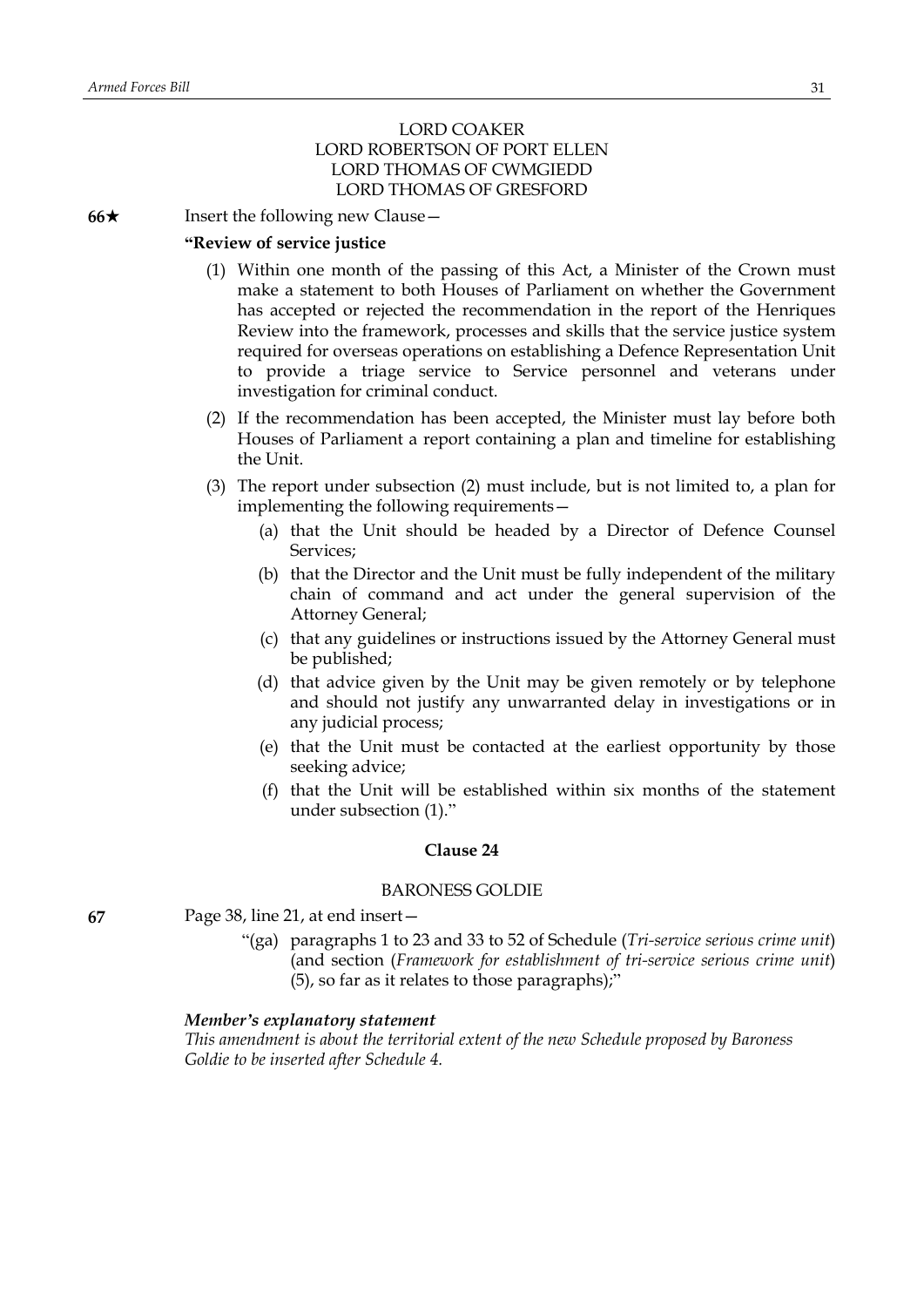# LORD COAKER LORD ROBERTSON OF PORT ELLEN LORD THOMAS OF CWMGIEDD LORD THOMAS OF GRESFORD

**66**★ Insert the following new Clause —

#### **"Review of service justice**

- (1) Within one month of the passing of this Act, a Minister of the Crown must make a statement to both Houses of Parliament on whether the Government has accepted or rejected the recommendation in the report of the Henriques Review into the framework, processes and skills that the service justice system required for overseas operations on establishing a Defence Representation Unit to provide a triage service to Service personnel and veterans under investigation for criminal conduct.
- (2) If the recommendation has been accepted, the Minister must lay before both Houses of Parliament a report containing a plan and timeline for establishing the Unit.
- (3) The report under subsection (2) must include, but is not limited to, a plan for implementing the following requirements—
	- (a) that the Unit should be headed by a Director of Defence Counsel Services;
	- (b) that the Director and the Unit must be fully independent of the military chain of command and act under the general supervision of the Attorney General;
	- (c) that any guidelines or instructions issued by the Attorney General must be published;
	- (d) that advice given by the Unit may be given remotely or by telephone and should not justify any unwarranted delay in investigations or in any judicial process;
	- (e) that the Unit must be contacted at the earliest opportunity by those seeking advice;
	- (f) that the Unit will be established within six months of the statement under subsection (1)."

#### **Clause 24**

# BARONESS GOLDIE

- **67** Page 38, line 21, at end insert—
	- "(ga) paragraphs 1 to 23 and 33 to 52 of Schedule (*Tri-service serious crime unit*) (and section (*Framework for establishment of tri-service serious crime unit*) (5), so far as it relates to those paragraphs);"

## *Member's explanatory statement*

*This amendment is about the territorial extent of the new Schedule proposed by Baroness Goldie to be inserted after Schedule 4.*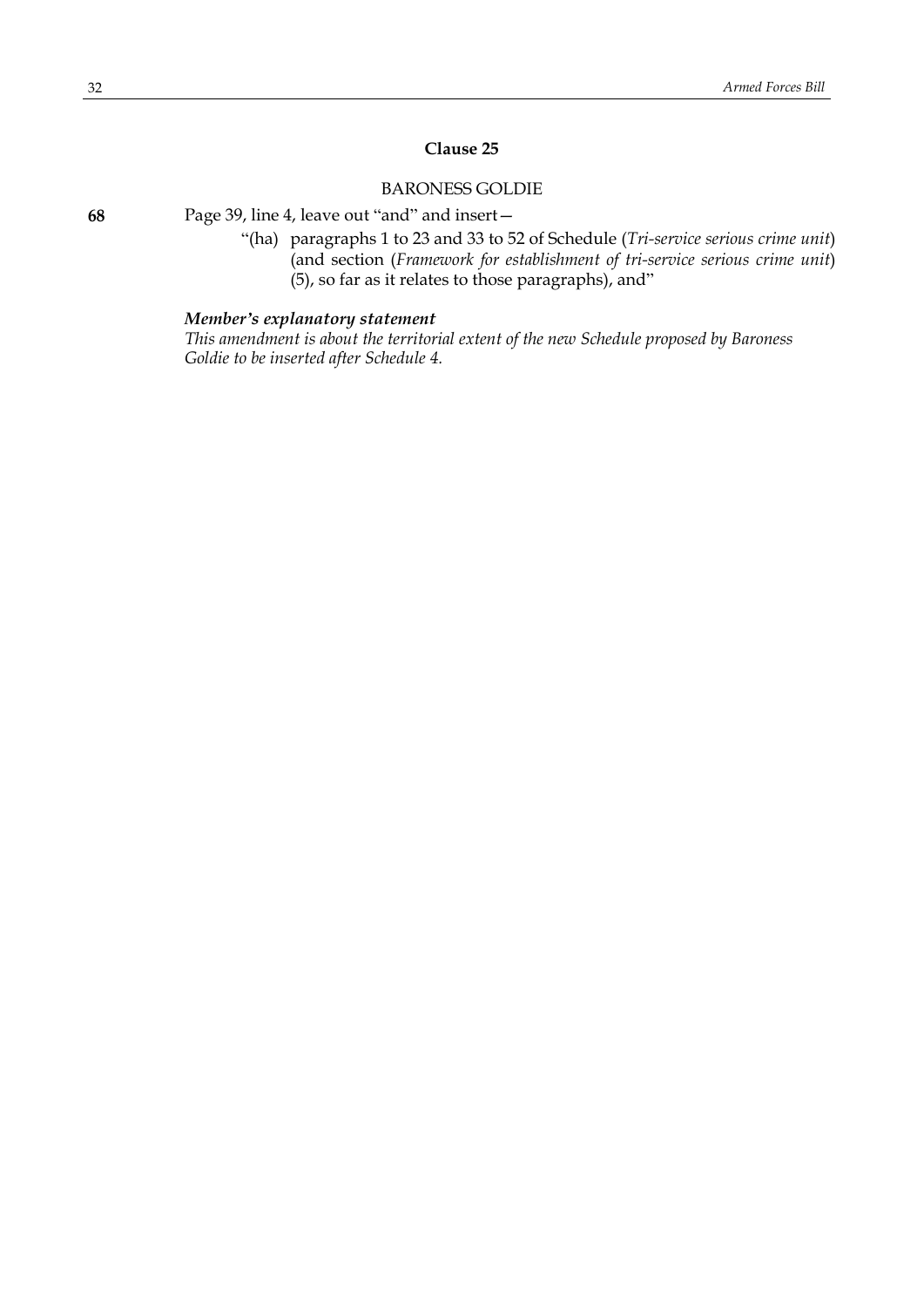# **Clause 25**

# BARONESS GOLDIE

"(ha) paragraphs 1 to 23 and 33 to 52 of Schedule (*Tri-service serious crime unit*) (and section (*Framework for establishment of tri-service serious crime unit*) (5), so far as it relates to those paragraphs), and"

# *Member's explanatory statement*

*This amendment is about the territorial extent of the new Schedule proposed by Baroness Goldie to be inserted after Schedule 4.*